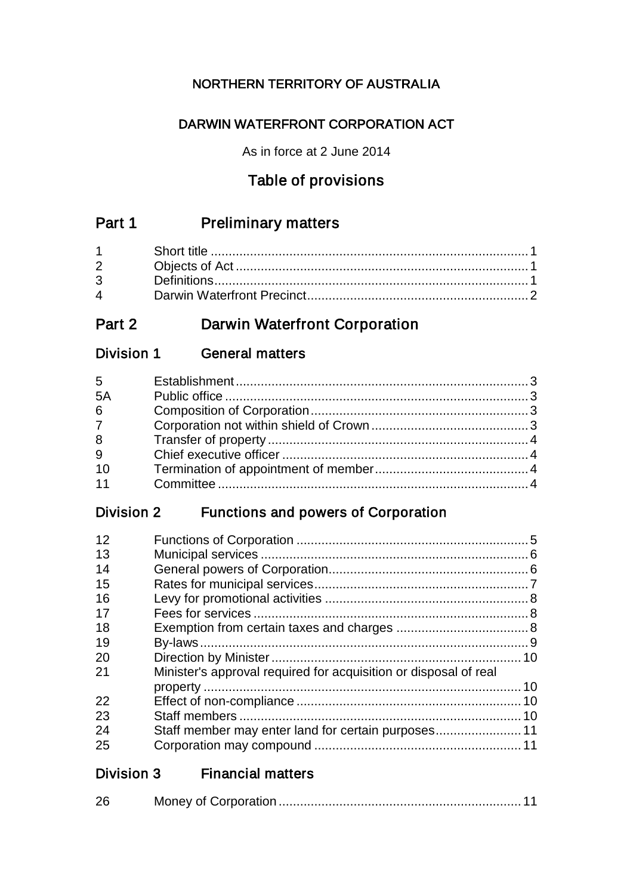# NORTHERN TERRITORY OF AUSTRALIA

# DARWIN WATERFRONT CORPORATION ACT

As in force at 2 June 2014

# Table of provisions

# Part 1 Preliminary matters

| $\overline{4}$ and $\overline{4}$ and $\overline{4}$ and $\overline{4}$ and $\overline{4}$ and $\overline{4}$ and $\overline{4}$ and $\overline{4}$ and $\overline{4}$ and $\overline{4}$ and $\overline{4}$ and $\overline{4}$ and $\overline{4}$ and $\overline{4}$ and $\overline{4}$ and $\overline{4}$ and $\overline{4}$ and |  |
|------------------------------------------------------------------------------------------------------------------------------------------------------------------------------------------------------------------------------------------------------------------------------------------------------------------------------------|--|

# Part 2 Darwin Waterfront Corporation

# Division 1 General matters

| $5^{\circ}$     |  |
|-----------------|--|
| 5A              |  |
| $6\overline{6}$ |  |
| 7               |  |
| 8               |  |
| $\overline{9}$  |  |
| 10              |  |
| 11              |  |
|                 |  |

# Division 2 Functions and powers of Corporation

| 12 |                                                                  |  |
|----|------------------------------------------------------------------|--|
| 13 |                                                                  |  |
| 14 |                                                                  |  |
| 15 |                                                                  |  |
| 16 |                                                                  |  |
| 17 |                                                                  |  |
| 18 |                                                                  |  |
| 19 |                                                                  |  |
| 20 |                                                                  |  |
| 21 | Minister's approval required for acquisition or disposal of real |  |
|    |                                                                  |  |
| 22 |                                                                  |  |
| 23 |                                                                  |  |
| 24 |                                                                  |  |
| 25 |                                                                  |  |
|    |                                                                  |  |

| Division 3<br><b>Financial matters</b> |
|----------------------------------------|
|----------------------------------------|

|  | 26 |  |  |
|--|----|--|--|
|--|----|--|--|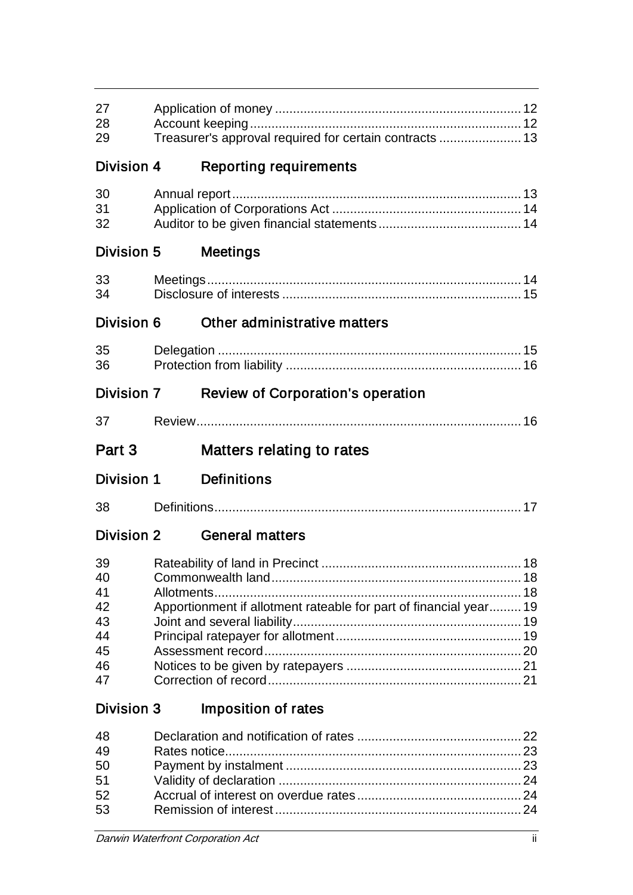| 27<br>28<br>Treasurer's approval required for certain contracts  13<br>29<br>Division 4<br><b>Reporting requirements</b><br>30<br>31<br>32<br>Division 5<br>Meetings<br>33<br>34<br>Division 6<br>Other administrative matters<br>35<br>36<br><b>Division 7</b><br><b>Review of Corporation's operation</b><br>37<br>Part 3<br>Matters relating to rates<br><b>Definitions</b><br>Division 1<br>38<br><b>Division 2</b><br><b>General matters</b><br>39<br>40<br>41<br>42 |                                                                   |                                  |
|---------------------------------------------------------------------------------------------------------------------------------------------------------------------------------------------------------------------------------------------------------------------------------------------------------------------------------------------------------------------------------------------------------------------------------------------------------------------------|-------------------------------------------------------------------|----------------------------------|
|                                                                                                                                                                                                                                                                                                                                                                                                                                                                           |                                                                   |                                  |
|                                                                                                                                                                                                                                                                                                                                                                                                                                                                           |                                                                   |                                  |
|                                                                                                                                                                                                                                                                                                                                                                                                                                                                           |                                                                   |                                  |
|                                                                                                                                                                                                                                                                                                                                                                                                                                                                           |                                                                   |                                  |
|                                                                                                                                                                                                                                                                                                                                                                                                                                                                           |                                                                   |                                  |
|                                                                                                                                                                                                                                                                                                                                                                                                                                                                           |                                                                   |                                  |
|                                                                                                                                                                                                                                                                                                                                                                                                                                                                           |                                                                   |                                  |
|                                                                                                                                                                                                                                                                                                                                                                                                                                                                           |                                                                   |                                  |
|                                                                                                                                                                                                                                                                                                                                                                                                                                                                           |                                                                   |                                  |
|                                                                                                                                                                                                                                                                                                                                                                                                                                                                           |                                                                   |                                  |
|                                                                                                                                                                                                                                                                                                                                                                                                                                                                           |                                                                   |                                  |
|                                                                                                                                                                                                                                                                                                                                                                                                                                                                           |                                                                   |                                  |
|                                                                                                                                                                                                                                                                                                                                                                                                                                                                           |                                                                   |                                  |
| 43<br>44<br>45                                                                                                                                                                                                                                                                                                                                                                                                                                                            | Apportionment if allotment rateable for part of financial year 19 | 46                               |
| 47                                                                                                                                                                                                                                                                                                                                                                                                                                                                        | <b>Imposition of rates</b>                                        |                                  |
| <b>Division 3</b>                                                                                                                                                                                                                                                                                                                                                                                                                                                         |                                                                   | 48<br>49<br>50<br>51<br>52<br>53 |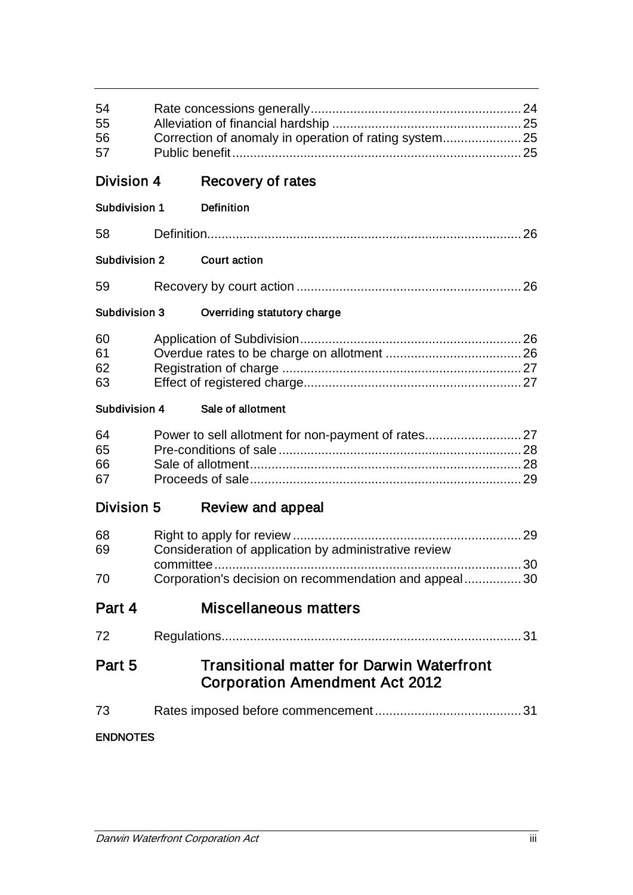| 54<br>55<br>56<br>57 | Correction of anomaly in operation of rating system 25                                    |  |
|----------------------|-------------------------------------------------------------------------------------------|--|
| Division 4           | Recovery of rates                                                                         |  |
| Subdivision 1        | <b>Definition</b>                                                                         |  |
| 58                   |                                                                                           |  |
| <b>Subdivision 2</b> | <b>Court action</b>                                                                       |  |
| 59                   |                                                                                           |  |
| <b>Subdivision 3</b> | Overriding statutory charge                                                               |  |
| 60<br>61<br>62<br>63 |                                                                                           |  |
| <b>Subdivision 4</b> | Sale of allotment                                                                         |  |
| 64<br>65<br>66<br>67 | Power to sell allotment for non-payment of rates 27                                       |  |
| <b>Division 5</b>    | Review and appeal                                                                         |  |
| 68<br>69             | Consideration of application by administrative review                                     |  |
| 70                   | Corporation's decision on recommendation and appeal 30                                    |  |
| Part 4               | <b>Miscellaneous matters</b>                                                              |  |
| 72                   |                                                                                           |  |
| Part 5               | <b>Transitional matter for Darwin Waterfront</b><br><b>Corporation Amendment Act 2012</b> |  |
| 73                   |                                                                                           |  |
| <b>ENDNOTES</b>      |                                                                                           |  |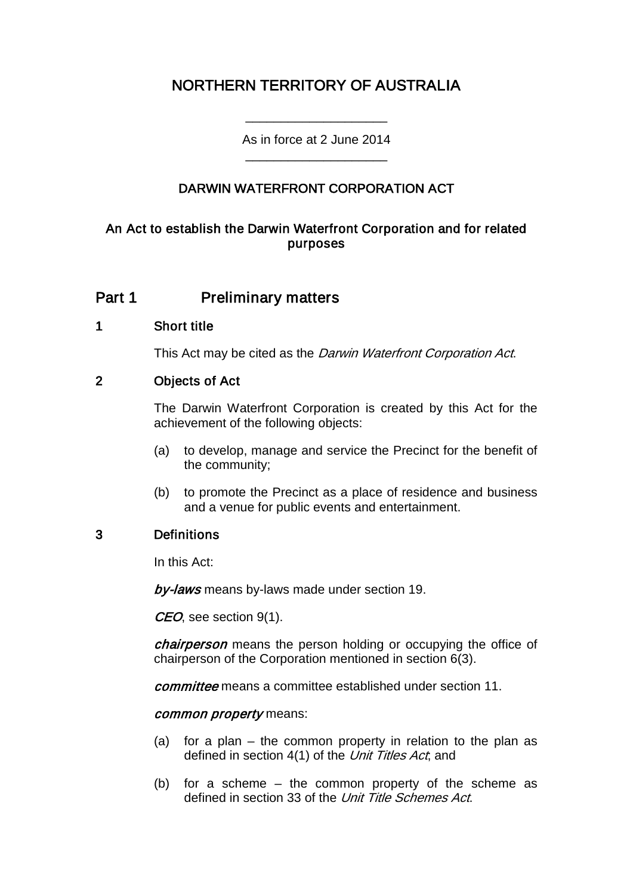# NORTHERN TERRITORY OF AUSTRALIA

As in force at 2 June 2014 \_\_\_\_\_\_\_\_\_\_\_\_\_\_\_\_\_\_\_\_

\_\_\_\_\_\_\_\_\_\_\_\_\_\_\_\_\_\_\_\_

### DARWIN WATERFRONT CORPORATION ACT

### An Act to establish the Darwin Waterfront Corporation and for related purposes

### Part 1 **Preliminary matters**

#### 1 Short title

This Act may be cited as the *Darwin Waterfront Corporation Act*.

### 2 Objects of Act

The Darwin Waterfront Corporation is created by this Act for the achievement of the following objects:

- (a) to develop, manage and service the Precinct for the benefit of the community;
- (b) to promote the Precinct as a place of residence and business and a venue for public events and entertainment.

### 3 Definitions

In this Act:

by-laws means by-laws made under section 19.

CEO, see section 9(1).

chairperson means the person holding or occupying the office of chairperson of the Corporation mentioned in section 6(3).

committee means a committee established under section 11.

#### common property means:

- (a) for a plan the common property in relation to the plan as defined in section 4(1) of the Unit Titles Act, and
- (b) for a scheme the common property of the scheme as defined in section 33 of the Unit Title Schemes Act.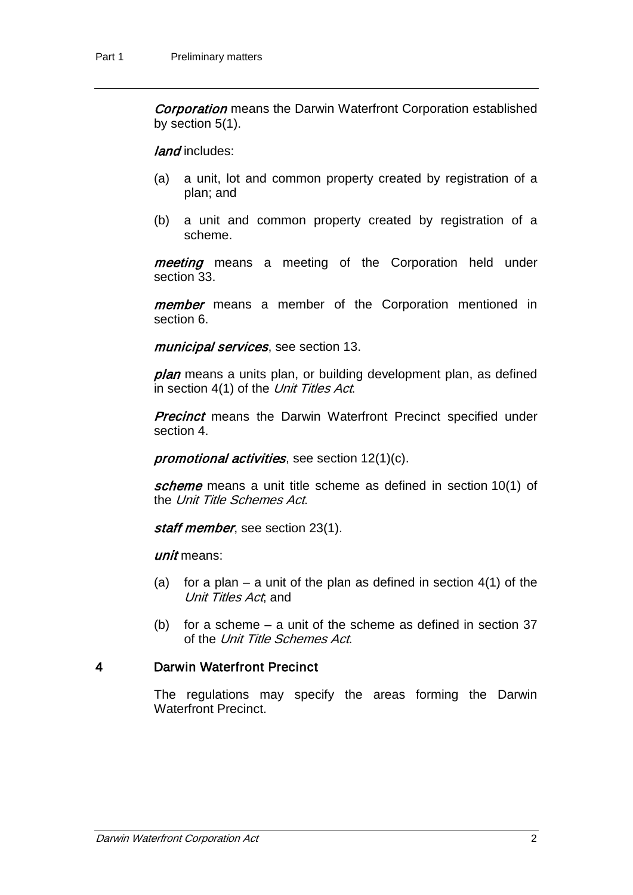**Corporation** means the Darwin Waterfront Corporation established by section 5(1).

land includes:

- (a) a unit, lot and common property created by registration of a plan; and
- (b) a unit and common property created by registration of a scheme.

meeting means a meeting of the Corporation held under section 33.

member means a member of the Corporation mentioned in section 6.

municipal services, see section 13.

plan means a units plan, or building development plan, as defined in section 4(1) of the Unit Titles Act.

**Precinct** means the Darwin Waterfront Precinct specified under section 4.

promotional activities, see section 12(1)(c).

scheme means a unit title scheme as defined in section 10(1) of the Unit Title Schemes Act.

staff member, see section 23(1).

unit means:

- (a) for a plan a unit of the plan as defined in section  $4(1)$  of the Unit Titles Act, and
- (b) for a scheme a unit of the scheme as defined in section 37 of the Unit Title Schemes Act.

### 4 Darwin Waterfront Precinct

The regulations may specify the areas forming the Darwin Waterfront Precinct.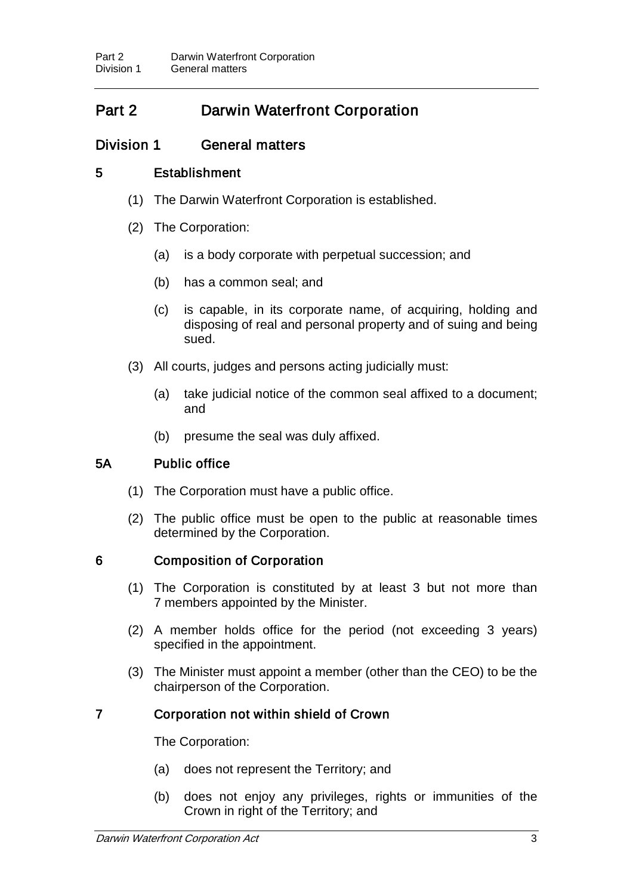# Part 2 Darwin Waterfront Corporation

### Division 1 General matters

### 5 Establishment

- (1) The Darwin Waterfront Corporation is established.
- (2) The Corporation:
	- (a) is a body corporate with perpetual succession; and
	- (b) has a common seal; and
	- (c) is capable, in its corporate name, of acquiring, holding and disposing of real and personal property and of suing and being sued.
- (3) All courts, judges and persons acting judicially must:
	- (a) take judicial notice of the common seal affixed to a document; and
	- (b) presume the seal was duly affixed.

### 5A Public office

- (1) The Corporation must have a public office.
- (2) The public office must be open to the public at reasonable times determined by the Corporation.

### 6 Composition of Corporation

- (1) The Corporation is constituted by at least 3 but not more than 7 members appointed by the Minister.
- (2) A member holds office for the period (not exceeding 3 years) specified in the appointment.
- (3) The Minister must appoint a member (other than the CEO) to be the chairperson of the Corporation.

### 7 Corporation not within shield of Crown

The Corporation:

- (a) does not represent the Territory; and
- (b) does not enjoy any privileges, rights or immunities of the Crown in right of the Territory; and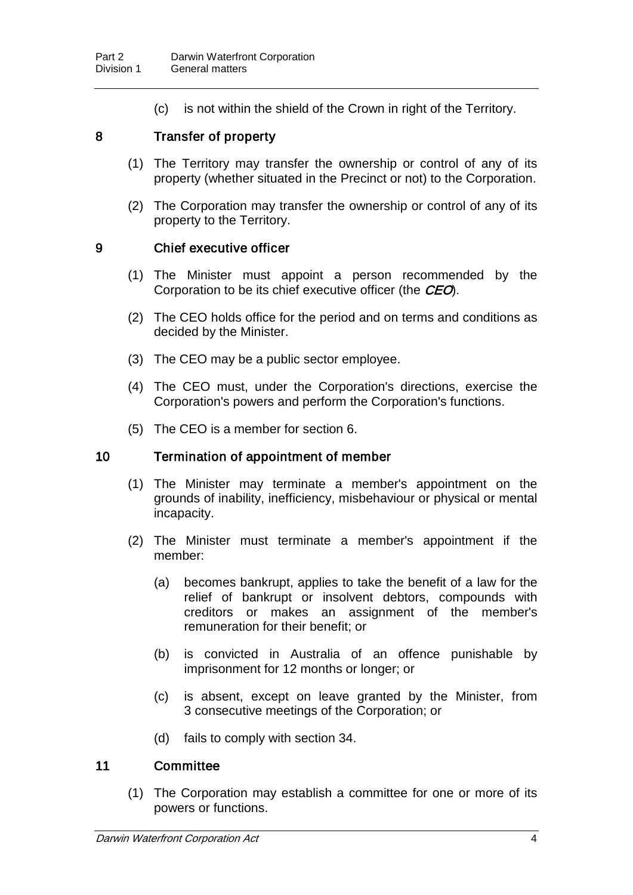(c) is not within the shield of the Crown in right of the Territory.

### 8 Transfer of property

- (1) The Territory may transfer the ownership or control of any of its property (whether situated in the Precinct or not) to the Corporation.
- (2) The Corporation may transfer the ownership or control of any of its property to the Territory.

#### 9 Chief executive officer

- (1) The Minister must appoint a person recommended by the Corporation to be its chief executive officer (the CEO).
- (2) The CEO holds office for the period and on terms and conditions as decided by the Minister.
- (3) The CEO may be a public sector employee.
- (4) The CEO must, under the Corporation's directions, exercise the Corporation's powers and perform the Corporation's functions.
- (5) The CEO is a member for section 6.

#### 10 Termination of appointment of member

- (1) The Minister may terminate a member's appointment on the grounds of inability, inefficiency, misbehaviour or physical or mental incapacity.
- (2) The Minister must terminate a member's appointment if the member:
	- (a) becomes bankrupt, applies to take the benefit of a law for the relief of bankrupt or insolvent debtors, compounds with creditors or makes an assignment of the member's remuneration for their benefit; or
	- (b) is convicted in Australia of an offence punishable by imprisonment for 12 months or longer; or
	- (c) is absent, except on leave granted by the Minister, from 3 consecutive meetings of the Corporation; or
	- (d) fails to comply with section 34.

#### 11 Committee

(1) The Corporation may establish a committee for one or more of its powers or functions.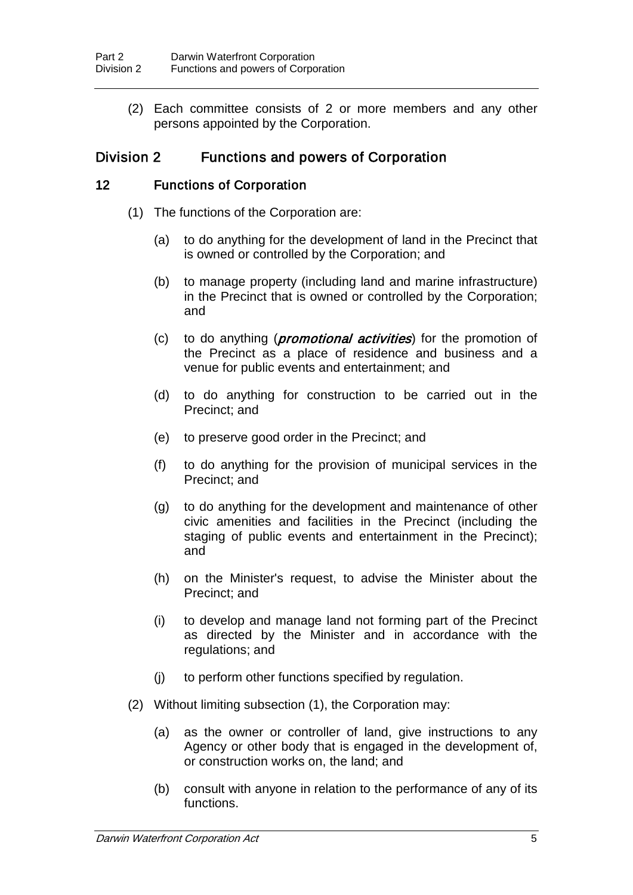(2) Each committee consists of 2 or more members and any other persons appointed by the Corporation.

### Division 2 Functions and powers of Corporation

### 12 Functions of Corporation

- (1) The functions of the Corporation are:
	- (a) to do anything for the development of land in the Precinct that is owned or controlled by the Corporation; and
	- (b) to manage property (including land and marine infrastructure) in the Precinct that is owned or controlled by the Corporation; and
	- (c) to do anything (*promotional activities*) for the promotion of the Precinct as a place of residence and business and a venue for public events and entertainment; and
	- (d) to do anything for construction to be carried out in the Precinct; and
	- (e) to preserve good order in the Precinct; and
	- (f) to do anything for the provision of municipal services in the Precinct; and
	- (g) to do anything for the development and maintenance of other civic amenities and facilities in the Precinct (including the staging of public events and entertainment in the Precinct); and
	- (h) on the Minister's request, to advise the Minister about the Precinct; and
	- (i) to develop and manage land not forming part of the Precinct as directed by the Minister and in accordance with the regulations; and
	- (j) to perform other functions specified by regulation.
- (2) Without limiting subsection (1), the Corporation may:
	- (a) as the owner or controller of land, give instructions to any Agency or other body that is engaged in the development of, or construction works on, the land; and
	- (b) consult with anyone in relation to the performance of any of its functions.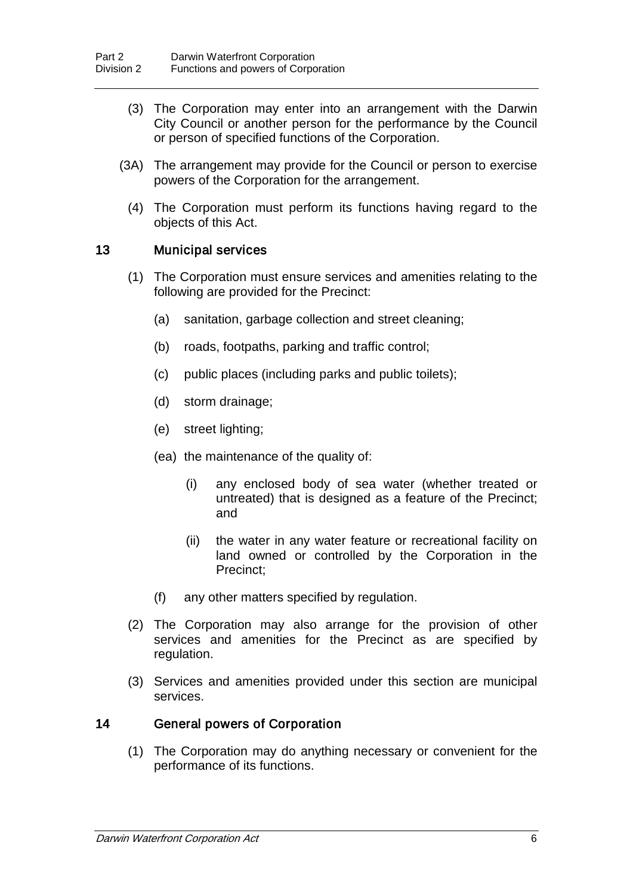- (3) The Corporation may enter into an arrangement with the Darwin City Council or another person for the performance by the Council or person of specified functions of the Corporation.
- (3A) The arrangement may provide for the Council or person to exercise powers of the Corporation for the arrangement.
- (4) The Corporation must perform its functions having regard to the objects of this Act.

#### 13 Municipal services

- (1) The Corporation must ensure services and amenities relating to the following are provided for the Precinct:
	- (a) sanitation, garbage collection and street cleaning;
	- (b) roads, footpaths, parking and traffic control;
	- (c) public places (including parks and public toilets);
	- (d) storm drainage;
	- (e) street lighting;
	- (ea) the maintenance of the quality of:
		- (i) any enclosed body of sea water (whether treated or untreated) that is designed as a feature of the Precinct; and
		- (ii) the water in any water feature or recreational facility on land owned or controlled by the Corporation in the Precinct;
	- (f) any other matters specified by regulation.
- (2) The Corporation may also arrange for the provision of other services and amenities for the Precinct as are specified by regulation.
- (3) Services and amenities provided under this section are municipal services.

#### 14 General powers of Corporation

(1) The Corporation may do anything necessary or convenient for the performance of its functions.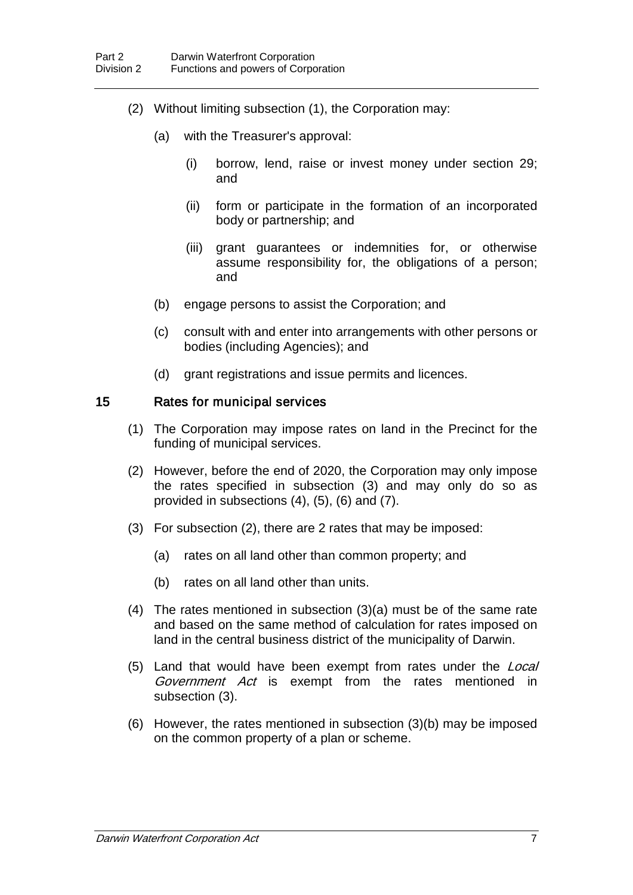- (2) Without limiting subsection (1), the Corporation may:
	- (a) with the Treasurer's approval:
		- (i) borrow, lend, raise or invest money under section 29; and
		- (ii) form or participate in the formation of an incorporated body or partnership; and
		- (iii) grant guarantees or indemnities for, or otherwise assume responsibility for, the obligations of a person; and
	- (b) engage persons to assist the Corporation; and
	- (c) consult with and enter into arrangements with other persons or bodies (including Agencies); and
	- (d) grant registrations and issue permits and licences.

#### 15 Rates for municipal services

- (1) The Corporation may impose rates on land in the Precinct for the funding of municipal services.
- (2) However, before the end of 2020, the Corporation may only impose the rates specified in subsection (3) and may only do so as provided in subsections (4), (5), (6) and (7).
- (3) For subsection (2), there are 2 rates that may be imposed:
	- (a) rates on all land other than common property; and
	- (b) rates on all land other than units.
- (4) The rates mentioned in subsection (3)(a) must be of the same rate and based on the same method of calculation for rates imposed on land in the central business district of the municipality of Darwin.
- (5) Land that would have been exempt from rates under the Local Government Act is exempt from the rates mentioned in subsection (3).
- (6) However, the rates mentioned in subsection (3)(b) may be imposed on the common property of a plan or scheme.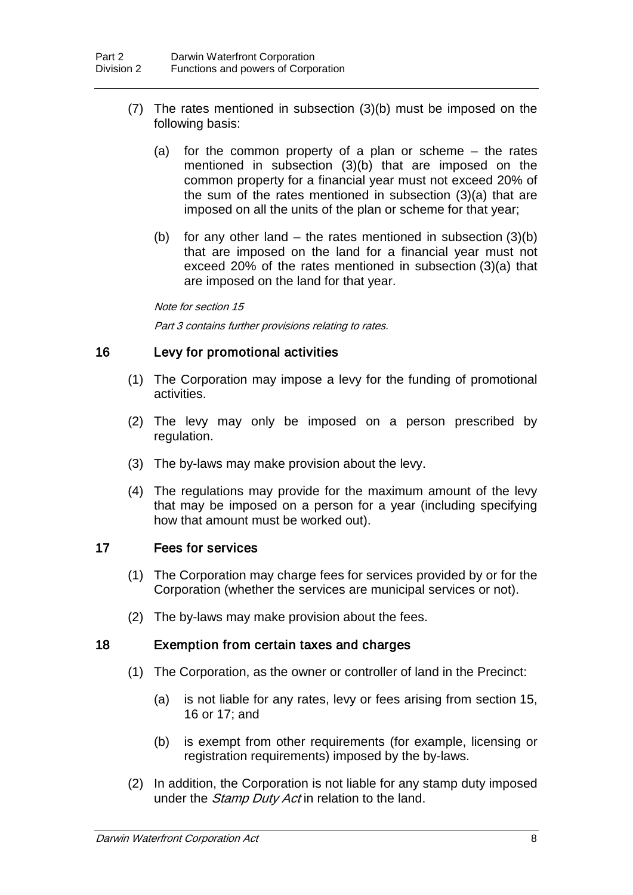- (7) The rates mentioned in subsection (3)(b) must be imposed on the following basis:
	- (a) for the common property of a plan or scheme the rates mentioned in subsection (3)(b) that are imposed on the common property for a financial year must not exceed 20% of the sum of the rates mentioned in subsection (3)(a) that are imposed on all the units of the plan or scheme for that year;
	- (b) for any other land the rates mentioned in subsection  $(3)(b)$ that are imposed on the land for a financial year must not exceed 20% of the rates mentioned in subsection (3)(a) that are imposed on the land for that year.

Note for section 15

Part 3 contains further provisions relating to rates.

### 16 Levy for promotional activities

- (1) The Corporation may impose a levy for the funding of promotional activities.
- (2) The levy may only be imposed on a person prescribed by regulation.
- (3) The by-laws may make provision about the levy.
- (4) The regulations may provide for the maximum amount of the levy that may be imposed on a person for a year (including specifying how that amount must be worked out).

### 17 Fees for services

- (1) The Corporation may charge fees for services provided by or for the Corporation (whether the services are municipal services or not).
- (2) The by-laws may make provision about the fees.

### 18 Exemption from certain taxes and charges

- (1) The Corporation, as the owner or controller of land in the Precinct:
	- (a) is not liable for any rates, levy or fees arising from section 15, 16 or 17; and
	- (b) is exempt from other requirements (for example, licensing or registration requirements) imposed by the by-laws.
- (2) In addition, the Corporation is not liable for any stamp duty imposed under the *Stamp Duty Act* in relation to the land.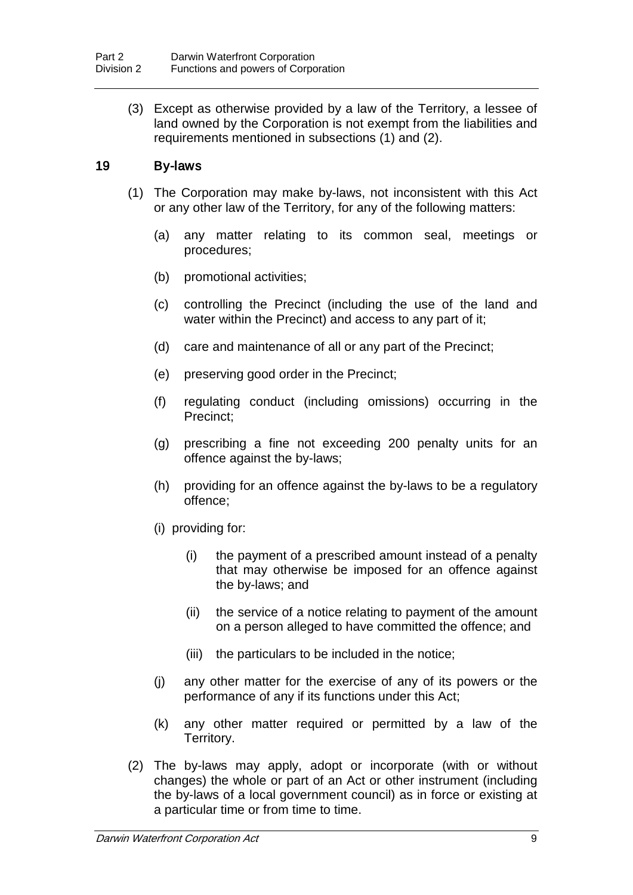(3) Except as otherwise provided by a law of the Territory, a lessee of land owned by the Corporation is not exempt from the liabilities and requirements mentioned in subsections (1) and (2).

### 19 By-laws

- (1) The Corporation may make by-laws, not inconsistent with this Act or any other law of the Territory, for any of the following matters:
	- (a) any matter relating to its common seal, meetings or procedures;
	- (b) promotional activities;
	- (c) controlling the Precinct (including the use of the land and water within the Precinct) and access to any part of it;
	- (d) care and maintenance of all or any part of the Precinct;
	- (e) preserving good order in the Precinct;
	- (f) regulating conduct (including omissions) occurring in the Precinct;
	- (g) prescribing a fine not exceeding 200 penalty units for an offence against the by-laws;
	- (h) providing for an offence against the by-laws to be a regulatory offence;
	- (i) providing for:
		- (i) the payment of a prescribed amount instead of a penalty that may otherwise be imposed for an offence against the by-laws; and
		- (ii) the service of a notice relating to payment of the amount on a person alleged to have committed the offence; and
		- (iii) the particulars to be included in the notice;
	- (j) any other matter for the exercise of any of its powers or the performance of any if its functions under this Act;
	- (k) any other matter required or permitted by a law of the Territory.
- (2) The by-laws may apply, adopt or incorporate (with or without changes) the whole or part of an Act or other instrument (including the by-laws of a local government council) as in force or existing at a particular time or from time to time.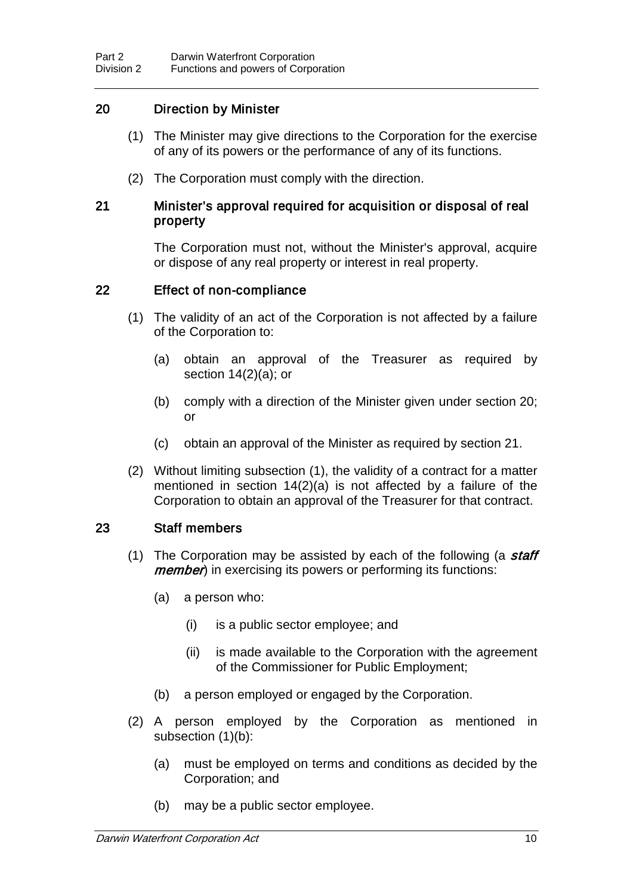### 20 Direction by Minister

- (1) The Minister may give directions to the Corporation for the exercise of any of its powers or the performance of any of its functions.
- (2) The Corporation must comply with the direction.

#### 21 Minister's approval required for acquisition or disposal of real property

The Corporation must not, without the Minister's approval, acquire or dispose of any real property or interest in real property.

#### 22 Effect of non-compliance

- (1) The validity of an act of the Corporation is not affected by a failure of the Corporation to:
	- (a) obtain an approval of the Treasurer as required by section  $14(2)(a)$ ; or
	- (b) comply with a direction of the Minister given under section 20; or
	- (c) obtain an approval of the Minister as required by section 21.
- (2) Without limiting subsection (1), the validity of a contract for a matter mentioned in section 14(2)(a) is not affected by a failure of the Corporation to obtain an approval of the Treasurer for that contract.

### 23 Staff members

- (1) The Corporation may be assisted by each of the following (a staff *member*) in exercising its powers or performing its functions:
	- (a) a person who:
		- (i) is a public sector employee; and
		- (ii) is made available to the Corporation with the agreement of the Commissioner for Public Employment;
	- (b) a person employed or engaged by the Corporation.
- (2) A person employed by the Corporation as mentioned in subsection (1)(b):
	- (a) must be employed on terms and conditions as decided by the Corporation; and
	- (b) may be a public sector employee.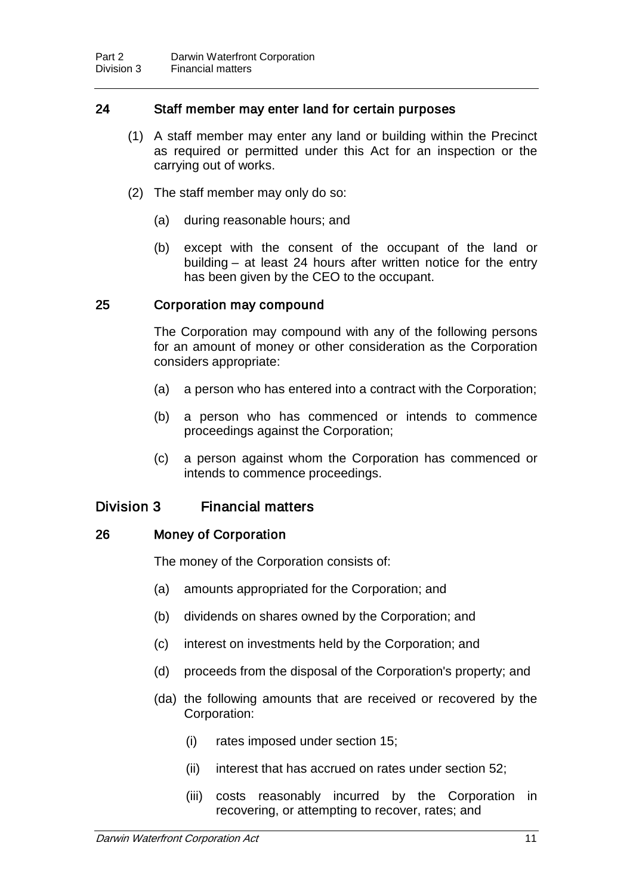### 24 Staff member may enter land for certain purposes

- (1) A staff member may enter any land or building within the Precinct as required or permitted under this Act for an inspection or the carrying out of works.
- (2) The staff member may only do so:
	- (a) during reasonable hours; and
	- (b) except with the consent of the occupant of the land or building – at least 24 hours after written notice for the entry has been given by the CEO to the occupant.

#### 25 Corporation may compound

The Corporation may compound with any of the following persons for an amount of money or other consideration as the Corporation considers appropriate:

- (a) a person who has entered into a contract with the Corporation;
- (b) a person who has commenced or intends to commence proceedings against the Corporation;
- (c) a person against whom the Corporation has commenced or intends to commence proceedings.

### Division 3 Financial matters

#### 26 Money of Corporation

The money of the Corporation consists of:

- (a) amounts appropriated for the Corporation; and
- (b) dividends on shares owned by the Corporation; and
- (c) interest on investments held by the Corporation; and
- (d) proceeds from the disposal of the Corporation's property; and
- (da) the following amounts that are received or recovered by the Corporation:
	- (i) rates imposed under section 15;
	- (ii) interest that has accrued on rates under section 52;
	- (iii) costs reasonably incurred by the Corporation in recovering, or attempting to recover, rates; and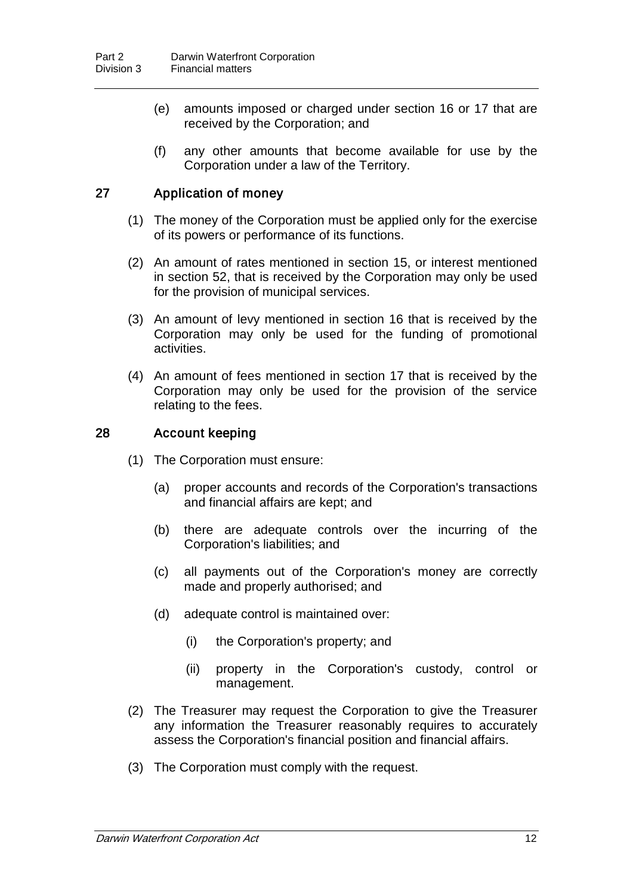- (e) amounts imposed or charged under section 16 or 17 that are received by the Corporation; and
- (f) any other amounts that become available for use by the Corporation under a law of the Territory.

### 27 Application of money

- (1) The money of the Corporation must be applied only for the exercise of its powers or performance of its functions.
- (2) An amount of rates mentioned in section 15, or interest mentioned in section 52, that is received by the Corporation may only be used for the provision of municipal services.
- (3) An amount of levy mentioned in section 16 that is received by the Corporation may only be used for the funding of promotional activities.
- (4) An amount of fees mentioned in section 17 that is received by the Corporation may only be used for the provision of the service relating to the fees.

#### 28 Account keeping

- (1) The Corporation must ensure:
	- (a) proper accounts and records of the Corporation's transactions and financial affairs are kept; and
	- (b) there are adequate controls over the incurring of the Corporation's liabilities; and
	- (c) all payments out of the Corporation's money are correctly made and properly authorised; and
	- (d) adequate control is maintained over:
		- (i) the Corporation's property; and
		- (ii) property in the Corporation's custody, control or management.
- (2) The Treasurer may request the Corporation to give the Treasurer any information the Treasurer reasonably requires to accurately assess the Corporation's financial position and financial affairs.
- (3) The Corporation must comply with the request.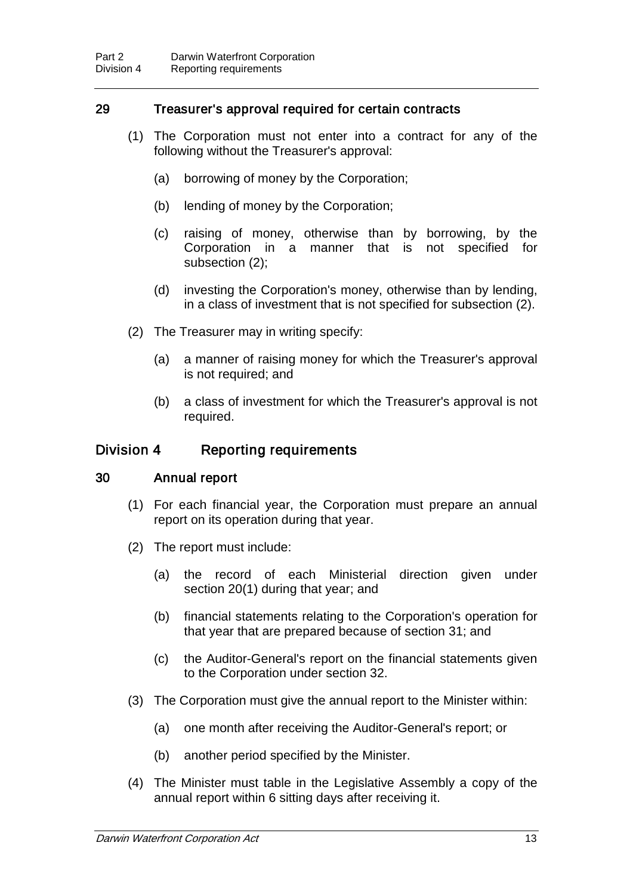### 29 Treasurer's approval required for certain contracts

- (1) The Corporation must not enter into a contract for any of the following without the Treasurer's approval:
	- (a) borrowing of money by the Corporation;
	- (b) lending of money by the Corporation;
	- (c) raising of money, otherwise than by borrowing, by the Corporation in a manner that is not specified for subsection (2);
	- (d) investing the Corporation's money, otherwise than by lending, in a class of investment that is not specified for subsection (2).
- (2) The Treasurer may in writing specify:
	- (a) a manner of raising money for which the Treasurer's approval is not required; and
	- (b) a class of investment for which the Treasurer's approval is not required.

### Division 4 Reporting requirements

#### 30 Annual report

- (1) For each financial year, the Corporation must prepare an annual report on its operation during that year.
- (2) The report must include:
	- (a) the record of each Ministerial direction given under section 20(1) during that year; and
	- (b) financial statements relating to the Corporation's operation for that year that are prepared because of section 31; and
	- (c) the Auditor-General's report on the financial statements given to the Corporation under section 32.
- (3) The Corporation must give the annual report to the Minister within:
	- (a) one month after receiving the Auditor-General's report; or
	- (b) another period specified by the Minister.
- (4) The Minister must table in the Legislative Assembly a copy of the annual report within 6 sitting days after receiving it.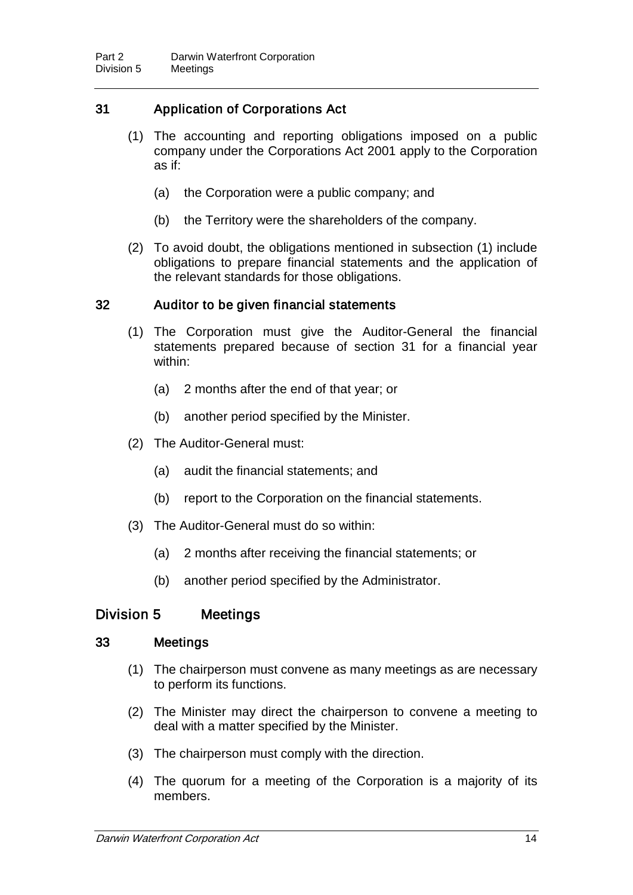### 31 Application of Corporations Act

- (1) The accounting and reporting obligations imposed on a public company under the Corporations Act 2001 apply to the Corporation as if:
	- (a) the Corporation were a public company; and
	- (b) the Territory were the shareholders of the company.
- (2) To avoid doubt, the obligations mentioned in subsection (1) include obligations to prepare financial statements and the application of the relevant standards for those obligations.

#### 32 Auditor to be given financial statements

- (1) The Corporation must give the Auditor-General the financial statements prepared because of section 31 for a financial year within:
	- (a) 2 months after the end of that year; or
	- (b) another period specified by the Minister.
- (2) The Auditor-General must:
	- (a) audit the financial statements; and
	- (b) report to the Corporation on the financial statements.
- (3) The Auditor-General must do so within:
	- (a) 2 months after receiving the financial statements; or
	- (b) another period specified by the Administrator.

### Division 5 Meetings

#### 33 Meetings

- (1) The chairperson must convene as many meetings as are necessary to perform its functions.
- (2) The Minister may direct the chairperson to convene a meeting to deal with a matter specified by the Minister.
- (3) The chairperson must comply with the direction.
- (4) The quorum for a meeting of the Corporation is a majority of its members.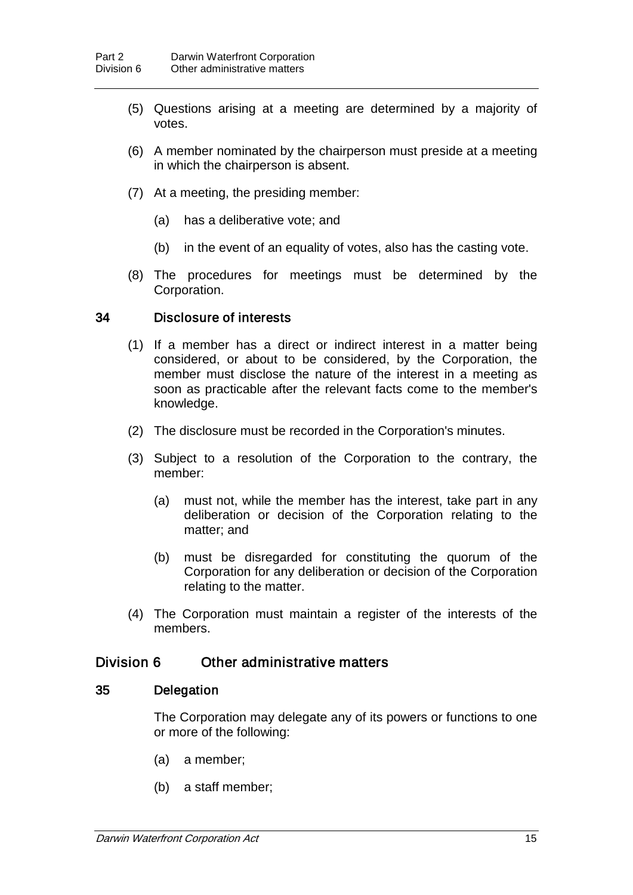- (5) Questions arising at a meeting are determined by a majority of votes.
- (6) A member nominated by the chairperson must preside at a meeting in which the chairperson is absent.
- (7) At a meeting, the presiding member:
	- (a) has a deliberative vote; and
	- (b) in the event of an equality of votes, also has the casting vote.
- (8) The procedures for meetings must be determined by the Corporation.

#### 34 Disclosure of interests

- (1) If a member has a direct or indirect interest in a matter being considered, or about to be considered, by the Corporation, the member must disclose the nature of the interest in a meeting as soon as practicable after the relevant facts come to the member's knowledge.
- (2) The disclosure must be recorded in the Corporation's minutes.
- (3) Subject to a resolution of the Corporation to the contrary, the member:
	- (a) must not, while the member has the interest, take part in any deliberation or decision of the Corporation relating to the matter; and
	- (b) must be disregarded for constituting the quorum of the Corporation for any deliberation or decision of the Corporation relating to the matter.
- (4) The Corporation must maintain a register of the interests of the members.

### Division 6 Other administrative matters

#### 35 Delegation

The Corporation may delegate any of its powers or functions to one or more of the following:

- (a) a member;
- (b) a staff member;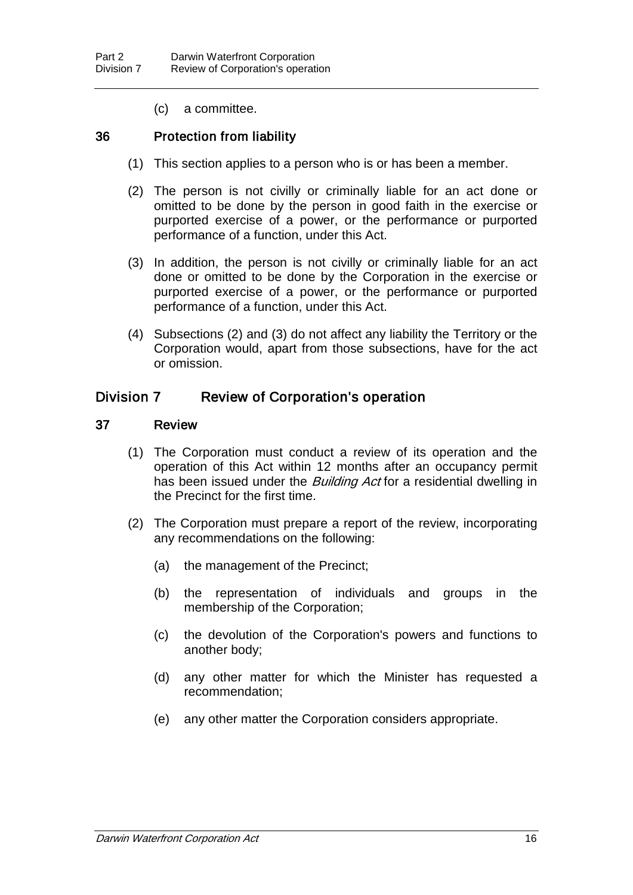(c) a committee.

#### 36 Protection from liability

- (1) This section applies to a person who is or has been a member.
- (2) The person is not civilly or criminally liable for an act done or omitted to be done by the person in good faith in the exercise or purported exercise of a power, or the performance or purported performance of a function, under this Act.
- (3) In addition, the person is not civilly or criminally liable for an act done or omitted to be done by the Corporation in the exercise or purported exercise of a power, or the performance or purported performance of a function, under this Act.
- (4) Subsections (2) and (3) do not affect any liability the Territory or the Corporation would, apart from those subsections, have for the act or omission.

### Division 7 Review of Corporation's operation

#### 37 Review

- (1) The Corporation must conduct a review of its operation and the operation of this Act within 12 months after an occupancy permit has been issued under the *Building Act* for a residential dwelling in the Precinct for the first time.
- (2) The Corporation must prepare a report of the review, incorporating any recommendations on the following:
	- (a) the management of the Precinct;
	- (b) the representation of individuals and groups in the membership of the Corporation;
	- (c) the devolution of the Corporation's powers and functions to another body;
	- (d) any other matter for which the Minister has requested a recommendation;
	- (e) any other matter the Corporation considers appropriate.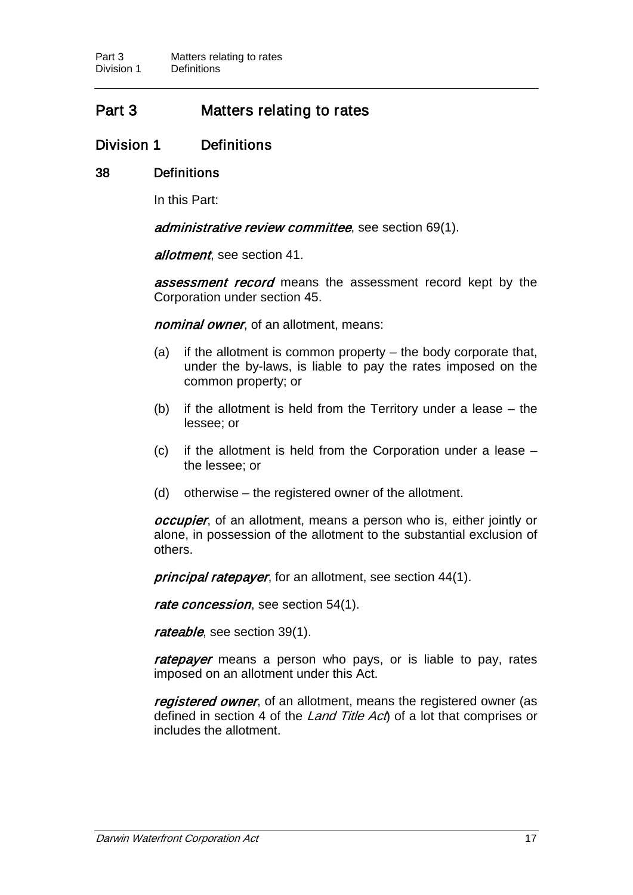# Part 3 Matters relating to rates

### Division 1 Definitions

#### 38 Definitions

In this Part:

administrative review committee, see section 69(1).

allotment, see section 41.

**assessment record** means the assessment record kept by the Corporation under section 45.

nominal owner, of an allotment, means:

- (a) if the allotment is common property the body corporate that, under the by-laws, is liable to pay the rates imposed on the common property; or
- (b) if the allotment is held from the Territory under a lease the lessee; or
- (c) if the allotment is held from the Corporation under a lease the lessee; or
- (d) otherwise the registered owner of the allotment.

*occupier*, of an allotment, means a person who is, either jointly or alone, in possession of the allotment to the substantial exclusion of others.

principal ratepayer, for an allotment, see section 44(1).

rate concession, see section 54(1).

rateable, see section 39(1).

ratepayer means a person who pays, or is liable to pay, rates imposed on an allotment under this Act.

registered owner, of an allotment, means the registered owner (as defined in section 4 of the *Land Title Act*) of a lot that comprises or includes the allotment.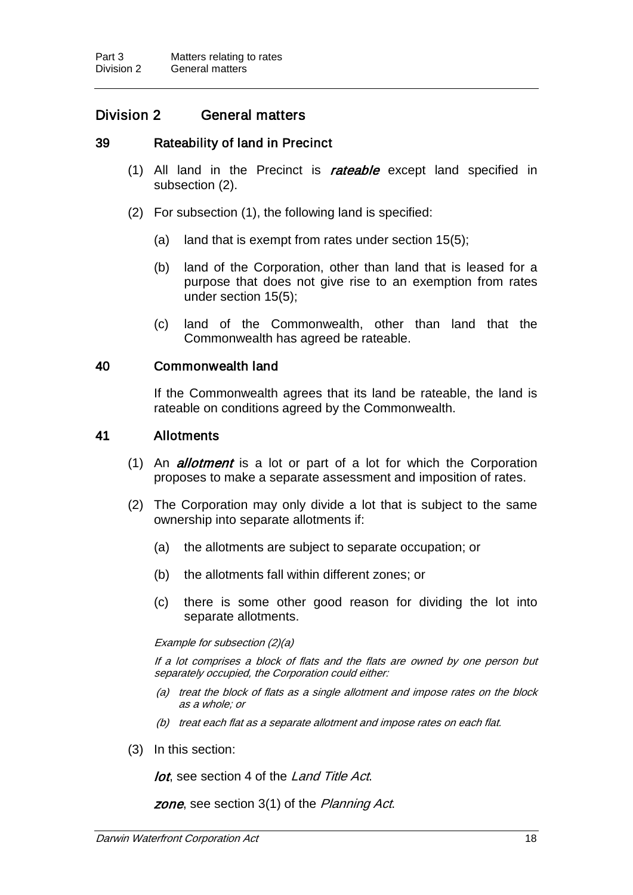### Division 2 General matters

#### 39 Rateability of land in Precinct

- (1) All land in the Precinct is rateable except land specified in subsection (2).
- (2) For subsection (1), the following land is specified:
	- (a) land that is exempt from rates under section 15(5);
	- (b) land of the Corporation, other than land that is leased for a purpose that does not give rise to an exemption from rates under section 15(5);
	- (c) land of the Commonwealth, other than land that the Commonwealth has agreed be rateable.

#### 40 Commonwealth land

If the Commonwealth agrees that its land be rateable, the land is rateable on conditions agreed by the Commonwealth.

#### 41 Allotments

- (1) An *allotment* is a lot or part of a lot for which the Corporation proposes to make a separate assessment and imposition of rates.
- (2) The Corporation may only divide a lot that is subject to the same ownership into separate allotments if:
	- (a) the allotments are subject to separate occupation; or
	- (b) the allotments fall within different zones; or
	- (c) there is some other good reason for dividing the lot into separate allotments.

Example for subsection (2)(a)

If a lot comprises a block of flats and the flats are owned by one person but separately occupied, the Corporation could either:

- (a) treat the block of flats as a single allotment and impose rates on the block as a whole; or
- (b) treat each flat as a separate allotment and impose rates on each flat.
- (3) In this section:

lot, see section 4 of the Land Title Act.

zone, see section 3(1) of the Planning Act.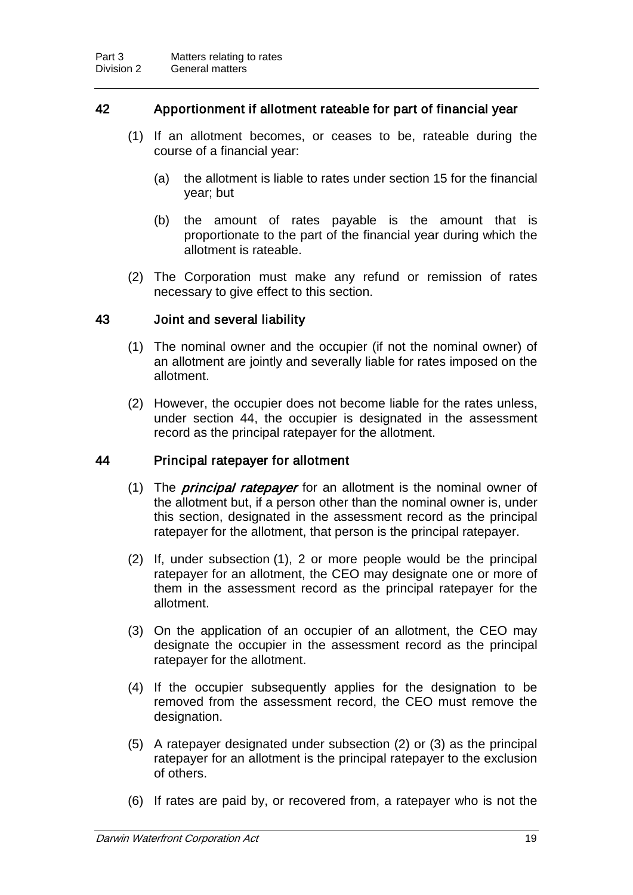### 42 Apportionment if allotment rateable for part of financial year

- (1) If an allotment becomes, or ceases to be, rateable during the course of a financial year:
	- (a) the allotment is liable to rates under section 15 for the financial year; but
	- (b) the amount of rates payable is the amount that is proportionate to the part of the financial year during which the allotment is rateable.
- (2) The Corporation must make any refund or remission of rates necessary to give effect to this section.

#### 43 Joint and several liability

- (1) The nominal owner and the occupier (if not the nominal owner) of an allotment are jointly and severally liable for rates imposed on the allotment.
- (2) However, the occupier does not become liable for the rates unless, under section 44, the occupier is designated in the assessment record as the principal ratepayer for the allotment.

#### 44 Principal ratepayer for allotment

- (1) The *principal ratepayer* for an allotment is the nominal owner of the allotment but, if a person other than the nominal owner is, under this section, designated in the assessment record as the principal ratepayer for the allotment, that person is the principal ratepayer.
- (2) If, under subsection (1), 2 or more people would be the principal ratepayer for an allotment, the CEO may designate one or more of them in the assessment record as the principal ratepayer for the allotment.
- (3) On the application of an occupier of an allotment, the CEO may designate the occupier in the assessment record as the principal ratepayer for the allotment.
- (4) If the occupier subsequently applies for the designation to be removed from the assessment record, the CEO must remove the designation.
- (5) A ratepayer designated under subsection (2) or (3) as the principal ratepayer for an allotment is the principal ratepayer to the exclusion of others.
- (6) If rates are paid by, or recovered from, a ratepayer who is not the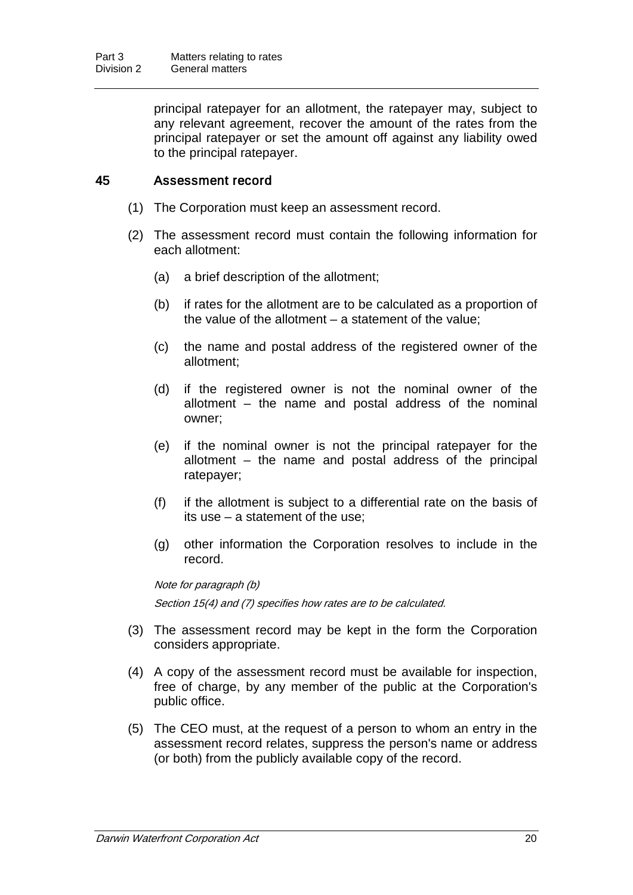principal ratepayer for an allotment, the ratepayer may, subject to any relevant agreement, recover the amount of the rates from the principal ratepayer or set the amount off against any liability owed to the principal ratepayer.

### 45 Assessment record

- (1) The Corporation must keep an assessment record.
- (2) The assessment record must contain the following information for each allotment:
	- (a) a brief description of the allotment;
	- (b) if rates for the allotment are to be calculated as a proportion of the value of the allotment – a statement of the value;
	- (c) the name and postal address of the registered owner of the allotment;
	- (d) if the registered owner is not the nominal owner of the allotment – the name and postal address of the nominal owner;
	- (e) if the nominal owner is not the principal ratepayer for the allotment – the name and postal address of the principal ratepayer;
	- (f) if the allotment is subject to a differential rate on the basis of its use – a statement of the use;
	- (g) other information the Corporation resolves to include in the record.

Note for paragraph (b) Section 15(4) and (7) specifies how rates are to be calculated.

- (3) The assessment record may be kept in the form the Corporation considers appropriate.
- (4) A copy of the assessment record must be available for inspection, free of charge, by any member of the public at the Corporation's public office.
- (5) The CEO must, at the request of a person to whom an entry in the assessment record relates, suppress the person's name or address (or both) from the publicly available copy of the record.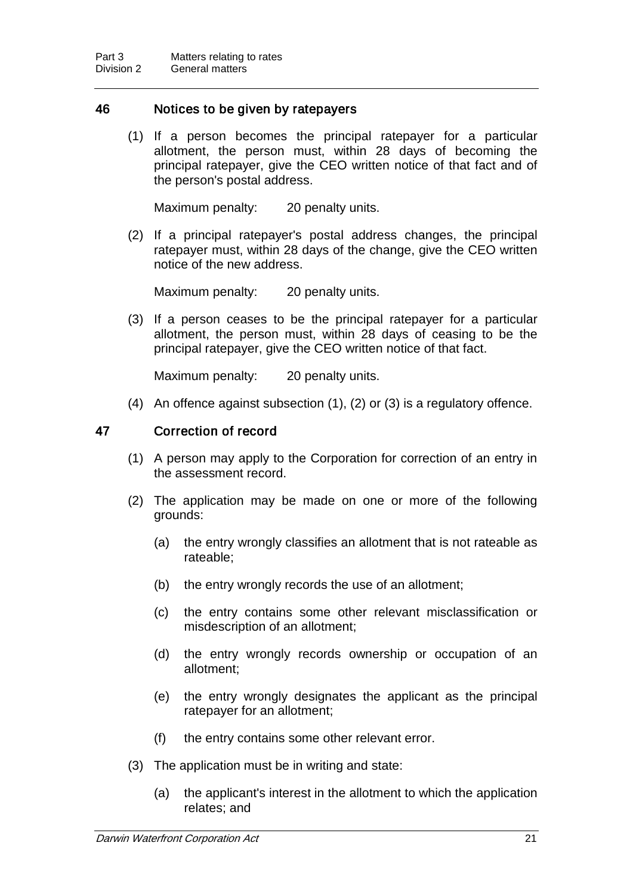#### 46 Notices to be given by ratepayers

(1) If a person becomes the principal ratepayer for a particular allotment, the person must, within 28 days of becoming the principal ratepayer, give the CEO written notice of that fact and of the person's postal address.

Maximum penalty: 20 penalty units.

(2) If a principal ratepayer's postal address changes, the principal ratepayer must, within 28 days of the change, give the CEO written notice of the new address.

Maximum penalty: 20 penalty units.

(3) If a person ceases to be the principal ratepayer for a particular allotment, the person must, within 28 days of ceasing to be the principal ratepayer, give the CEO written notice of that fact.

Maximum penalty: 20 penalty units.

(4) An offence against subsection (1), (2) or (3) is a regulatory offence.

#### 47 Correction of record

- (1) A person may apply to the Corporation for correction of an entry in the assessment record.
- (2) The application may be made on one or more of the following grounds:
	- (a) the entry wrongly classifies an allotment that is not rateable as rateable;
	- (b) the entry wrongly records the use of an allotment;
	- (c) the entry contains some other relevant misclassification or misdescription of an allotment;
	- (d) the entry wrongly records ownership or occupation of an allotment;
	- (e) the entry wrongly designates the applicant as the principal ratepayer for an allotment;
	- (f) the entry contains some other relevant error.
- (3) The application must be in writing and state:
	- (a) the applicant's interest in the allotment to which the application relates; and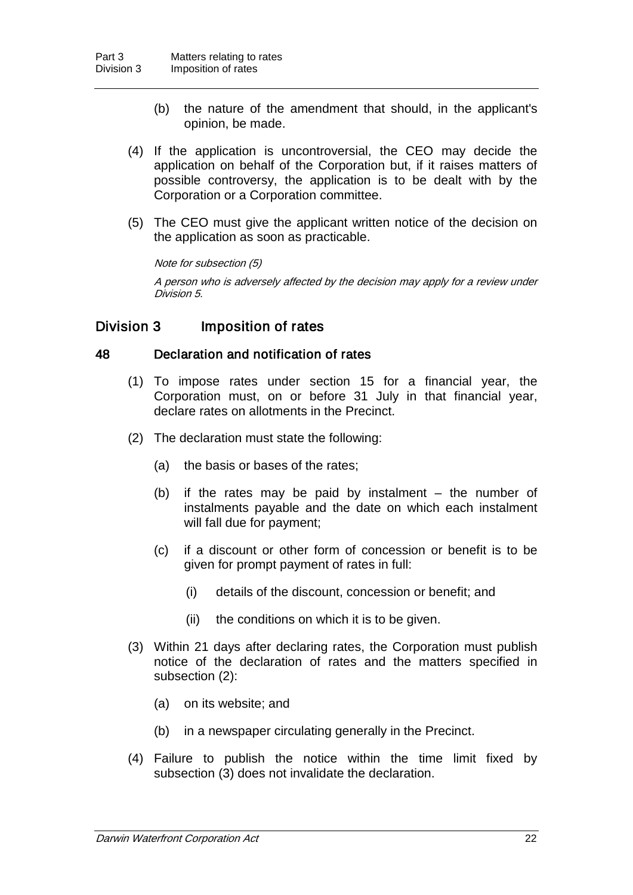- (b) the nature of the amendment that should, in the applicant's opinion, be made.
- (4) If the application is uncontroversial, the CEO may decide the application on behalf of the Corporation but, if it raises matters of possible controversy, the application is to be dealt with by the Corporation or a Corporation committee.
- (5) The CEO must give the applicant written notice of the decision on the application as soon as practicable.

#### Note for subsection (5)

A person who is adversely affected by the decision may apply for a review under Division 5.

### Division 3 Imposition of rates

#### 48 Declaration and notification of rates

- (1) To impose rates under section 15 for a financial year, the Corporation must, on or before 31 July in that financial year, declare rates on allotments in the Precinct.
- (2) The declaration must state the following:
	- (a) the basis or bases of the rates;
	- (b) if the rates may be paid by instalment the number of instalments payable and the date on which each instalment will fall due for payment;
	- (c) if a discount or other form of concession or benefit is to be given for prompt payment of rates in full:
		- (i) details of the discount, concession or benefit; and
		- (ii) the conditions on which it is to be given.
- (3) Within 21 days after declaring rates, the Corporation must publish notice of the declaration of rates and the matters specified in subsection (2):
	- (a) on its website; and
	- (b) in a newspaper circulating generally in the Precinct.
- (4) Failure to publish the notice within the time limit fixed by subsection (3) does not invalidate the declaration.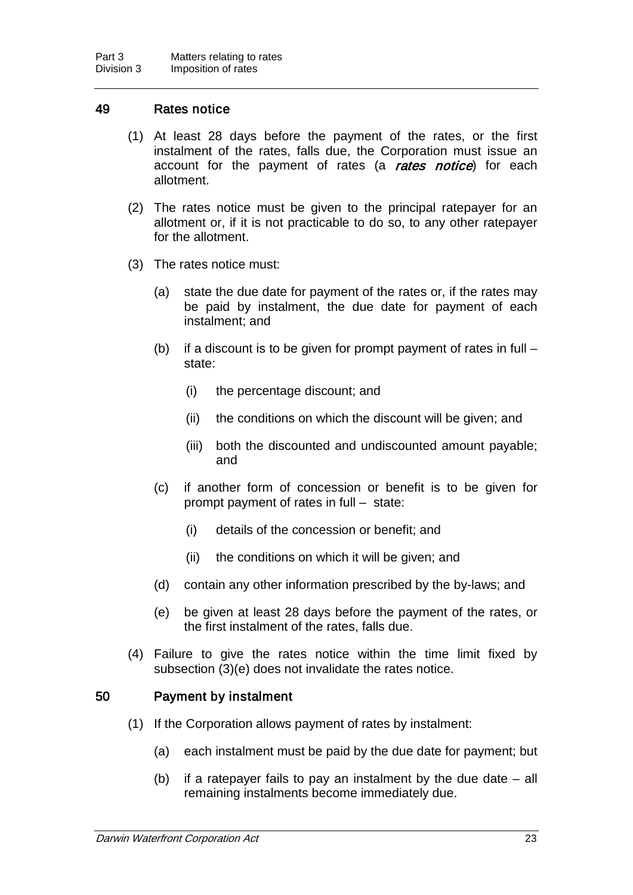#### 49 Rates notice

- (1) At least 28 days before the payment of the rates, or the first instalment of the rates, falls due, the Corporation must issue an account for the payment of rates (a rates notice) for each allotment.
- (2) The rates notice must be given to the principal ratepayer for an allotment or, if it is not practicable to do so, to any other ratepayer for the allotment.
- (3) The rates notice must:
	- (a) state the due date for payment of the rates or, if the rates may be paid by instalment, the due date for payment of each instalment; and
	- (b) if a discount is to be given for prompt payment of rates in full state:
		- (i) the percentage discount; and
		- (ii) the conditions on which the discount will be given; and
		- (iii) both the discounted and undiscounted amount payable; and
	- (c) if another form of concession or benefit is to be given for prompt payment of rates in full – state:
		- (i) details of the concession or benefit; and
		- (ii) the conditions on which it will be given; and
	- (d) contain any other information prescribed by the by-laws; and
	- (e) be given at least 28 days before the payment of the rates, or the first instalment of the rates, falls due.
- (4) Failure to give the rates notice within the time limit fixed by subsection (3)(e) does not invalidate the rates notice.

#### 50 Payment by instalment

- (1) If the Corporation allows payment of rates by instalment:
	- (a) each instalment must be paid by the due date for payment; but
	- (b) if a ratepayer fails to pay an instalment by the due date all remaining instalments become immediately due.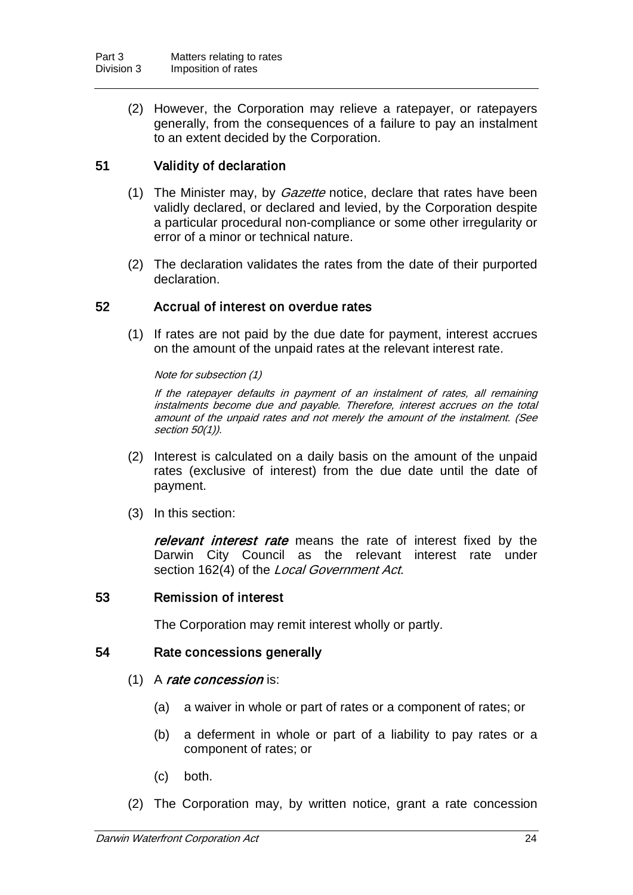(2) However, the Corporation may relieve a ratepayer, or ratepayers generally, from the consequences of a failure to pay an instalment to an extent decided by the Corporation.

### 51 Validity of declaration

- (1) The Minister may, by *Gazette* notice, declare that rates have been validly declared, or declared and levied, by the Corporation despite a particular procedural non-compliance or some other irregularity or error of a minor or technical nature.
- (2) The declaration validates the rates from the date of their purported declaration.

#### 52 Accrual of interest on overdue rates

(1) If rates are not paid by the due date for payment, interest accrues on the amount of the unpaid rates at the relevant interest rate.

Note for subsection (1)

If the ratepayer defaults in payment of an instalment of rates, all remaining instalments become due and payable. Therefore, interest accrues on the total amount of the unpaid rates and not merely the amount of the instalment. (See section 50(1)).

- (2) Interest is calculated on a daily basis on the amount of the unpaid rates (exclusive of interest) from the due date until the date of payment.
- (3) In this section:

relevant interest rate means the rate of interest fixed by the Darwin City Council as the relevant interest rate under section 162(4) of the Local Government Act.

#### 53 Remission of interest

The Corporation may remit interest wholly or partly.

#### 54 Rate concessions generally

#### $(1)$  A rate concession is:

- (a) a waiver in whole or part of rates or a component of rates; or
- (b) a deferment in whole or part of a liability to pay rates or a component of rates; or
- (c) both.
- (2) The Corporation may, by written notice, grant a rate concession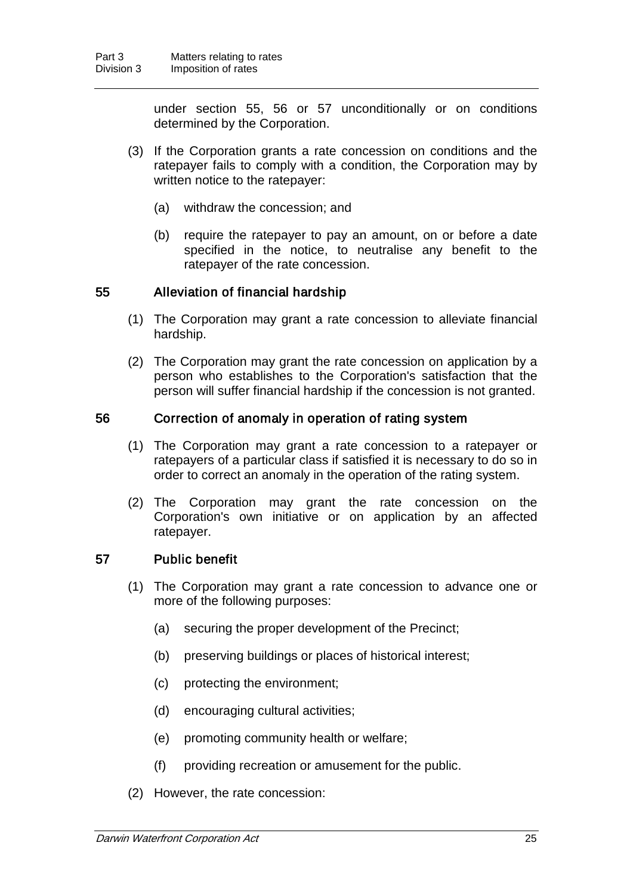under section 55, 56 or 57 unconditionally or on conditions determined by the Corporation.

- (3) If the Corporation grants a rate concession on conditions and the ratepayer fails to comply with a condition, the Corporation may by written notice to the ratepayer:
	- (a) withdraw the concession; and
	- (b) require the ratepayer to pay an amount, on or before a date specified in the notice, to neutralise any benefit to the ratepayer of the rate concession.

#### 55 Alleviation of financial hardship

- (1) The Corporation may grant a rate concession to alleviate financial hardship.
- (2) The Corporation may grant the rate concession on application by a person who establishes to the Corporation's satisfaction that the person will suffer financial hardship if the concession is not granted.

#### 56 Correction of anomaly in operation of rating system

- (1) The Corporation may grant a rate concession to a ratepayer or ratepayers of a particular class if satisfied it is necessary to do so in order to correct an anomaly in the operation of the rating system.
- (2) The Corporation may grant the rate concession on the Corporation's own initiative or on application by an affected ratepayer.

### 57 Public benefit

- (1) The Corporation may grant a rate concession to advance one or more of the following purposes:
	- (a) securing the proper development of the Precinct;
	- (b) preserving buildings or places of historical interest;
	- (c) protecting the environment;
	- (d) encouraging cultural activities;
	- (e) promoting community health or welfare;
	- (f) providing recreation or amusement for the public.
- (2) However, the rate concession: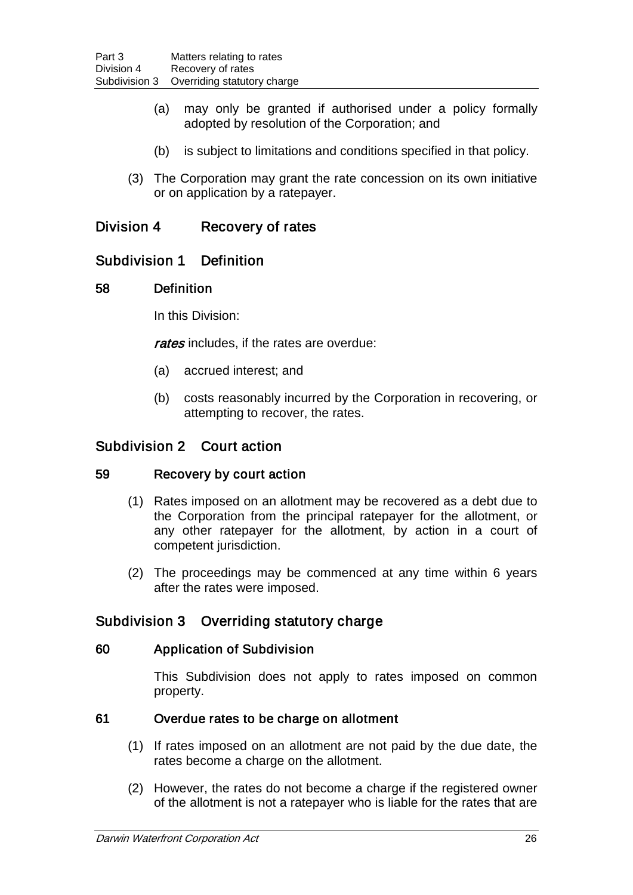- (a) may only be granted if authorised under a policy formally adopted by resolution of the Corporation; and
- (b) is subject to limitations and conditions specified in that policy.
- (3) The Corporation may grant the rate concession on its own initiative or on application by a ratepayer.

### Division 4 Recovery of rates

### Subdivision 1 Definition

#### 58 Definition

In this Division:

rates includes, if the rates are overdue:

- (a) accrued interest; and
- (b) costs reasonably incurred by the Corporation in recovering, or attempting to recover, the rates.

### Subdivision 2 Court action

#### 59 Recovery by court action

- (1) Rates imposed on an allotment may be recovered as a debt due to the Corporation from the principal ratepayer for the allotment, or any other ratepayer for the allotment, by action in a court of competent jurisdiction.
- (2) The proceedings may be commenced at any time within 6 years after the rates were imposed.

### Subdivision 3 Overriding statutory charge

#### 60 Application of Subdivision

This Subdivision does not apply to rates imposed on common property.

### 61 Overdue rates to be charge on allotment

- (1) If rates imposed on an allotment are not paid by the due date, the rates become a charge on the allotment.
- (2) However, the rates do not become a charge if the registered owner of the allotment is not a ratepayer who is liable for the rates that are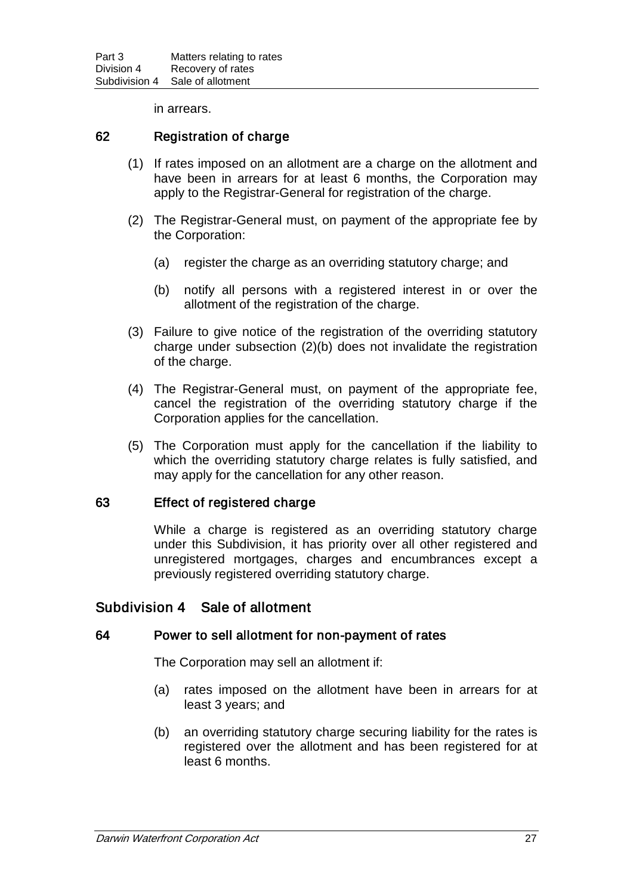in arrears.

#### 62 Registration of charge

- (1) If rates imposed on an allotment are a charge on the allotment and have been in arrears for at least 6 months, the Corporation may apply to the Registrar-General for registration of the charge.
- (2) The Registrar-General must, on payment of the appropriate fee by the Corporation:
	- (a) register the charge as an overriding statutory charge; and
	- (b) notify all persons with a registered interest in or over the allotment of the registration of the charge.
- (3) Failure to give notice of the registration of the overriding statutory charge under subsection (2)(b) does not invalidate the registration of the charge.
- (4) The Registrar-General must, on payment of the appropriate fee, cancel the registration of the overriding statutory charge if the Corporation applies for the cancellation.
- (5) The Corporation must apply for the cancellation if the liability to which the overriding statutory charge relates is fully satisfied, and may apply for the cancellation for any other reason.

#### 63 Effect of registered charge

While a charge is registered as an overriding statutory charge under this Subdivision, it has priority over all other registered and unregistered mortgages, charges and encumbrances except a previously registered overriding statutory charge.

### Subdivision 4 Sale of allotment

#### 64 Power to sell allotment for non-payment of rates

The Corporation may sell an allotment if:

- (a) rates imposed on the allotment have been in arrears for at least 3 years; and
- (b) an overriding statutory charge securing liability for the rates is registered over the allotment and has been registered for at least 6 months.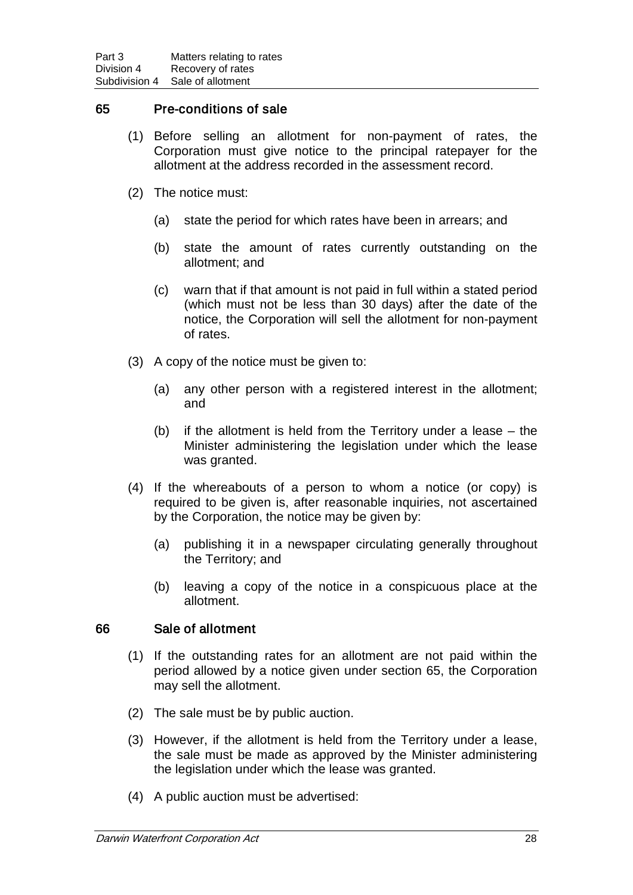#### 65 Pre-conditions of sale

- (1) Before selling an allotment for non-payment of rates, the Corporation must give notice to the principal ratepayer for the allotment at the address recorded in the assessment record.
- (2) The notice must:
	- (a) state the period for which rates have been in arrears; and
	- (b) state the amount of rates currently outstanding on the allotment; and
	- (c) warn that if that amount is not paid in full within a stated period (which must not be less than 30 days) after the date of the notice, the Corporation will sell the allotment for non-payment of rates.
- (3) A copy of the notice must be given to:
	- (a) any other person with a registered interest in the allotment; and
	- (b) if the allotment is held from the Territory under a lease the Minister administering the legislation under which the lease was granted.
- (4) If the whereabouts of a person to whom a notice (or copy) is required to be given is, after reasonable inquiries, not ascertained by the Corporation, the notice may be given by:
	- (a) publishing it in a newspaper circulating generally throughout the Territory; and
	- (b) leaving a copy of the notice in a conspicuous place at the allotment.

#### 66 Sale of allotment

- (1) If the outstanding rates for an allotment are not paid within the period allowed by a notice given under section 65, the Corporation may sell the allotment.
- (2) The sale must be by public auction.
- (3) However, if the allotment is held from the Territory under a lease, the sale must be made as approved by the Minister administering the legislation under which the lease was granted.
- (4) A public auction must be advertised: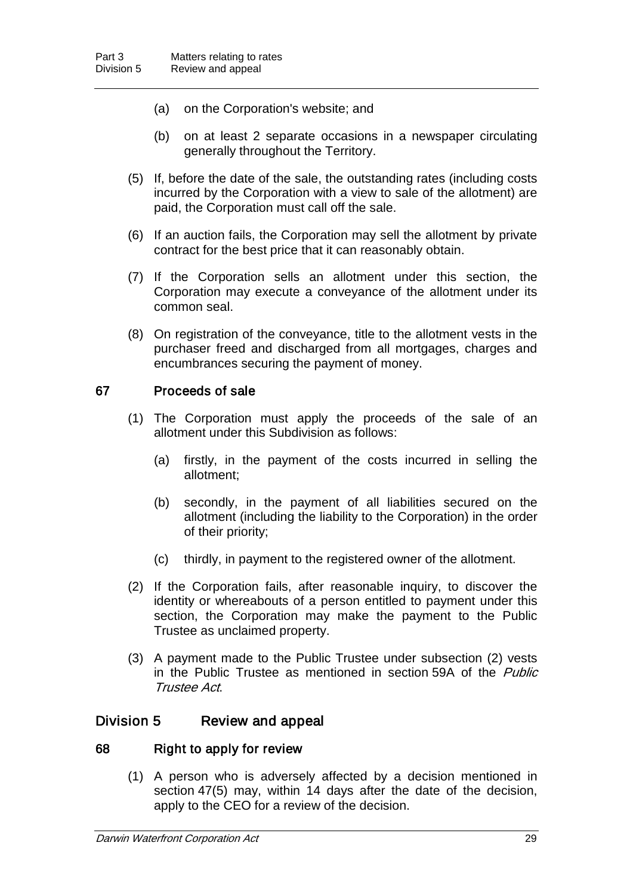- (a) on the Corporation's website; and
- (b) on at least 2 separate occasions in a newspaper circulating generally throughout the Territory.
- (5) If, before the date of the sale, the outstanding rates (including costs incurred by the Corporation with a view to sale of the allotment) are paid, the Corporation must call off the sale.
- (6) If an auction fails, the Corporation may sell the allotment by private contract for the best price that it can reasonably obtain.
- (7) If the Corporation sells an allotment under this section, the Corporation may execute a conveyance of the allotment under its common seal.
- (8) On registration of the conveyance, title to the allotment vests in the purchaser freed and discharged from all mortgages, charges and encumbrances securing the payment of money.

#### 67 Proceeds of sale

- (1) The Corporation must apply the proceeds of the sale of an allotment under this Subdivision as follows:
	- (a) firstly, in the payment of the costs incurred in selling the allotment;
	- (b) secondly, in the payment of all liabilities secured on the allotment (including the liability to the Corporation) in the order of their priority;
	- (c) thirdly, in payment to the registered owner of the allotment.
- (2) If the Corporation fails, after reasonable inquiry, to discover the identity or whereabouts of a person entitled to payment under this section, the Corporation may make the payment to the Public Trustee as unclaimed property.
- (3) A payment made to the Public Trustee under subsection (2) vests in the Public Trustee as mentioned in section 59A of the *Public* Trustee Act.

### Division 5 Review and appeal

#### 68 Right to apply for review

(1) A person who is adversely affected by a decision mentioned in section 47(5) may, within 14 days after the date of the decision, apply to the CEO for a review of the decision.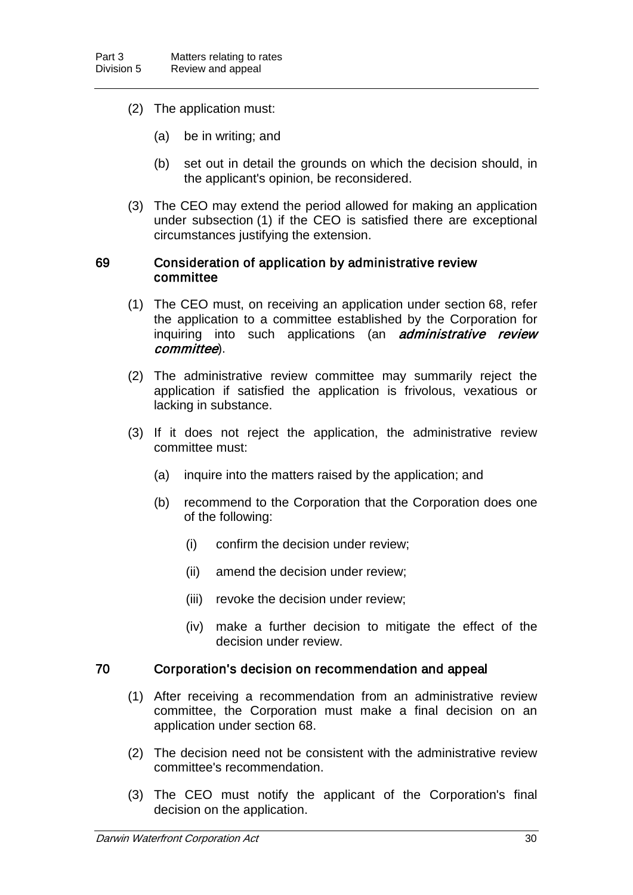- (2) The application must:
	- (a) be in writing; and
	- (b) set out in detail the grounds on which the decision should, in the applicant's opinion, be reconsidered.
- (3) The CEO may extend the period allowed for making an application under subsection (1) if the CEO is satisfied there are exceptional circumstances justifying the extension.

#### 69 Consideration of application by administrative review committee

- (1) The CEO must, on receiving an application under section 68, refer the application to a committee established by the Corporation for inquiring into such applications (an *administrative review* committee).
- (2) The administrative review committee may summarily reject the application if satisfied the application is frivolous, vexatious or lacking in substance.
- (3) If it does not reject the application, the administrative review committee must:
	- (a) inquire into the matters raised by the application; and
	- (b) recommend to the Corporation that the Corporation does one of the following:
		- (i) confirm the decision under review;
		- (ii) amend the decision under review;
		- (iii) revoke the decision under review;
		- (iv) make a further decision to mitigate the effect of the decision under review.

#### 70 Corporation's decision on recommendation and appeal

- (1) After receiving a recommendation from an administrative review committee, the Corporation must make a final decision on an application under section 68.
- (2) The decision need not be consistent with the administrative review committee's recommendation.
- (3) The CEO must notify the applicant of the Corporation's final decision on the application.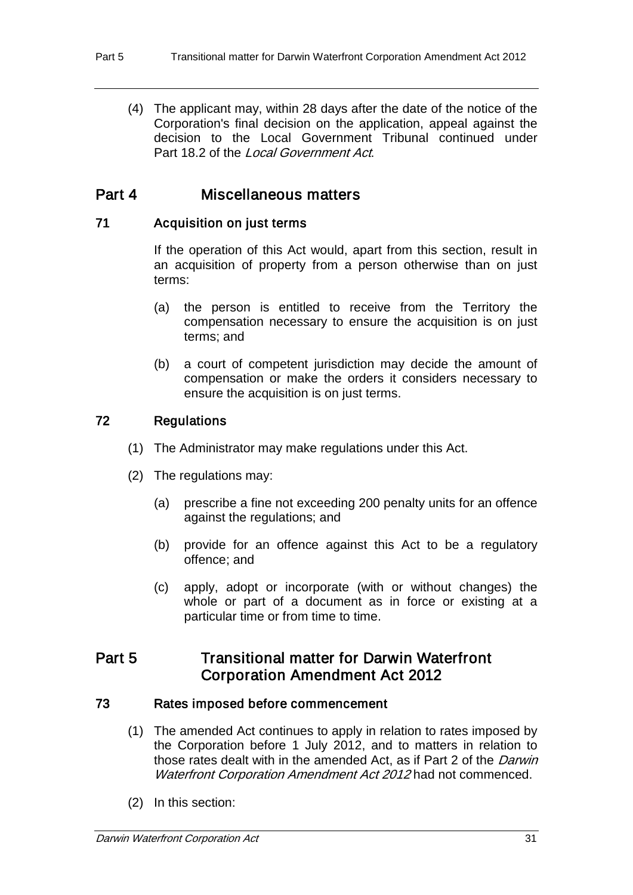(4) The applicant may, within 28 days after the date of the notice of the Corporation's final decision on the application, appeal against the decision to the Local Government Tribunal continued under Part 18.2 of the *Local Government Act*.

## Part 4 Miscellaneous matters

### 71 Acquisition on just terms

If the operation of this Act would, apart from this section, result in an acquisition of property from a person otherwise than on just terms:

- (a) the person is entitled to receive from the Territory the compensation necessary to ensure the acquisition is on just terms; and
- (b) a court of competent jurisdiction may decide the amount of compensation or make the orders it considers necessary to ensure the acquisition is on just terms.

### 72 Regulations

- (1) The Administrator may make regulations under this Act.
- (2) The regulations may:
	- (a) prescribe a fine not exceeding 200 penalty units for an offence against the regulations; and
	- (b) provide for an offence against this Act to be a regulatory offence; and
	- (c) apply, adopt or incorporate (with or without changes) the whole or part of a document as in force or existing at a particular time or from time to time.

## Part 5 **Transitional matter for Darwin Waterfront** Corporation Amendment Act 2012

### 73 Rates imposed before commencement

- (1) The amended Act continues to apply in relation to rates imposed by the Corporation before 1 July 2012, and to matters in relation to those rates dealt with in the amended Act, as if Part 2 of the Darwin Waterfront Corporation Amendment Act 2012 had not commenced.
- (2) In this section: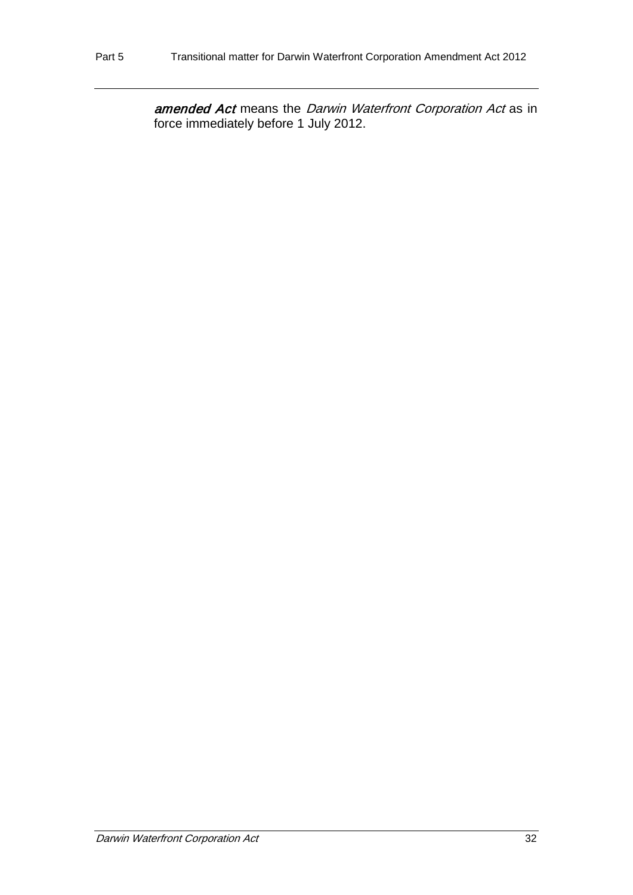amended Act means the Darwin Waterfront Corporation Act as in force immediately before 1 July 2012.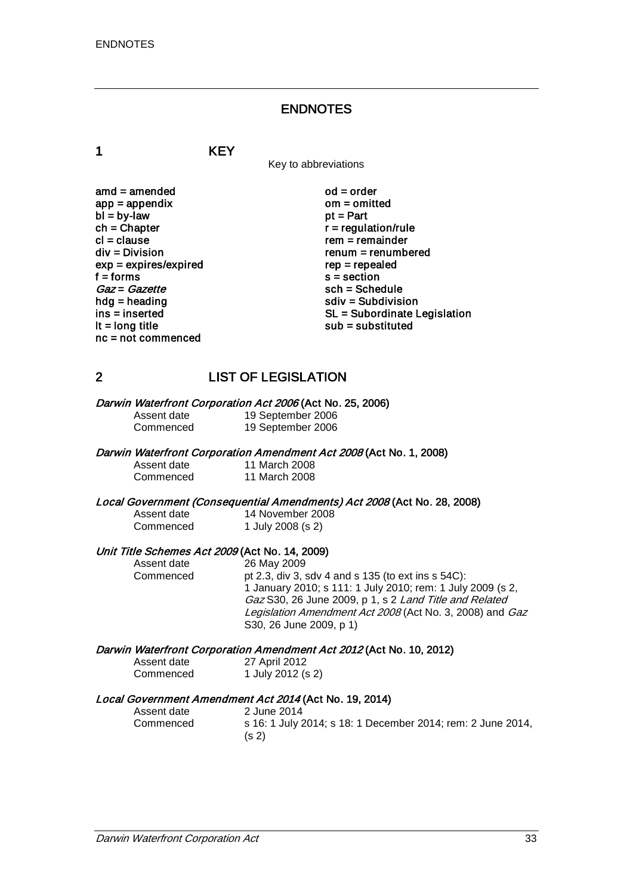### ENDNOTES

1 KEY

Key to abbreviations

amd = amended od = order<br>app = appendix om = omitted  $app = appendix$  om = om<br>  $bl = by-law$  of = Part  $bl = by-law$ <br>ch = Chapter  $ch = Chapter$ <br>  $cl = clause$  regulation/rule cl = clause rem = remainder<br>div = Division rem = remumber  $exp = expires/expired$ <br>f = forms f = forms s = section<br>  $Gaz = Gazette$  sch = Sche  $Gaz = Gazette$ <br>hdg = heading sch = Schedule<br>sch = Subdivisi hdg = heading solution<br>ins = inserted solution<br>SL = Subordinate L nc = not commenced

 $renum = renumbered$ <br> $rep = rep\end{eq}$ ins = inserted state of the SL = Subordinate Legislation<br>  $\mathsf{I} \mathsf{t} = \mathsf{long}$  title state of the substituted substituted substituted  $sub =$ substituted

### 2 LIST OF LEGISLATION

Darwin Waterfront Corporation Act 2006 (Act No. 25, 2006)<br>Assent date 19 September 2006

Assent date 19 September 2006<br>Commenced 19 September 2006 19 September 2006

#### Darwin Waterfront Corporation Amendment Act 2008 (Act No. 1, 2008)

Assent date 11 March 2008<br>Commenced 11 March 2008 11 March 2008

Local Government (Consequential Amendments) Act 2008 (Act No. 28, 2008)

| Assent date | 14 November 2008  |
|-------------|-------------------|
| Commenced   | 1 July 2008 (s 2) |

# Unit Title Schemes Act 2009 (Act No. 14, 2009)<br>Assent date 26 May 2009

Assent date 26 May 2009<br>Commenced bt 2.3, div 3, s

pt 2.3, div 3, sdv 4 and s 135 (to ext ins s  $54C$ ): 1 January 2010; s 111: 1 July 2010; rem: 1 July 2009 (s 2, Gaz S30, 26 June 2009, p 1, s 2 Land Title and Related Legislation Amendment Act 2008 (Act No. 3, 2008) and Gaz S30, 26 June 2009, p 1)

#### Darwin Waterfront Corporation Amendment Act 2012 (Act No. 10, 2012)

| Assent date | 27 April 2012     |
|-------------|-------------------|
| Commenced   | 1 July 2012 (s 2) |

# Local Government Amendment Act 2014 (Act No. 19, 2014)<br>Assent date 2014 2 June 2014

Assent date 2014<br>
Commenced 5 16: 1 July 2

s 16: 1 July 2014; s 18: 1 December 2014; rem: 2 June 2014, (s 2)